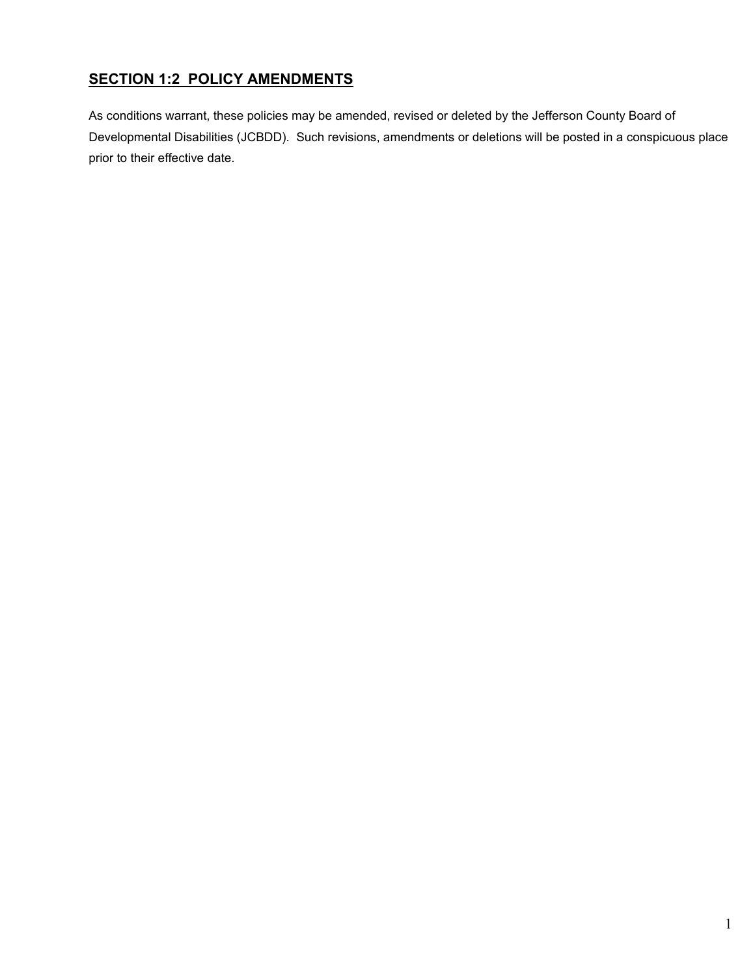# **SECTION 1:2 POLICY AMENDMENTS**

As conditions warrant, these policies may be amended, revised or deleted by the Jefferson County Board of Developmental Disabilities (JCBDD). Such revisions, amendments or deletions will be posted in a conspicuous place prior to their effective date.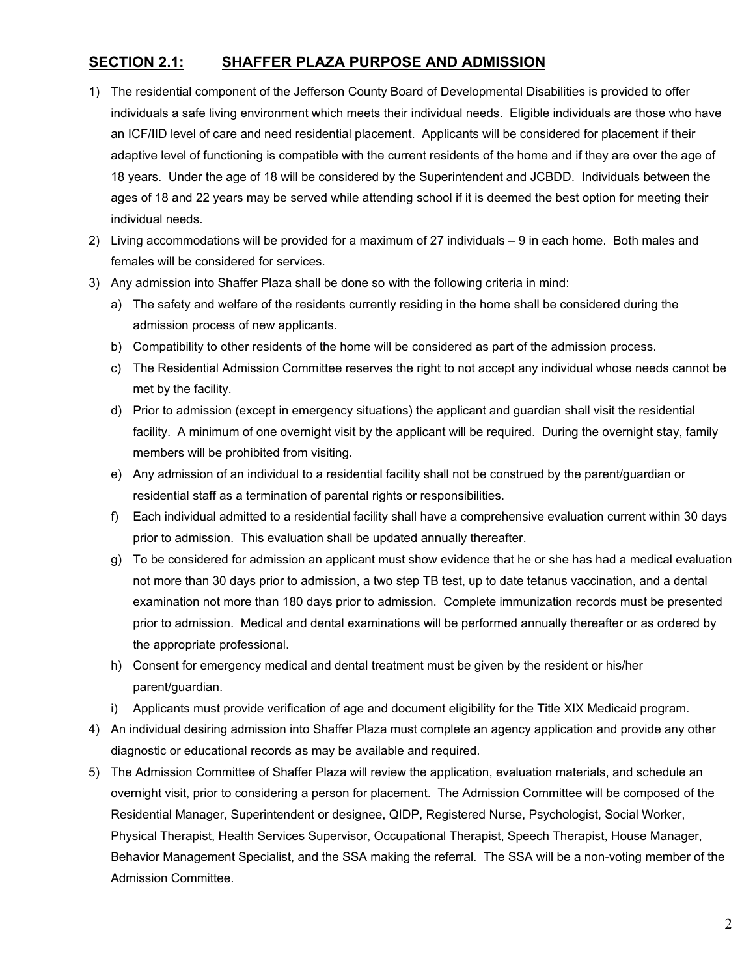### **SECTION 2.1: SHAFFER PLAZA PURPOSE AND ADMISSION**

- 1) The residential component of the Jefferson County Board of Developmental Disabilities is provided to offer individuals a safe living environment which meets their individual needs. Eligible individuals are those who have an ICF/IID level of care and need residential placement. Applicants will be considered for placement if their adaptive level of functioning is compatible with the current residents of the home and if they are over the age of 18 years. Under the age of 18 will be considered by the Superintendent and JCBDD. Individuals between the ages of 18 and 22 years may be served while attending school if it is deemed the best option for meeting their individual needs.
- 2) Living accommodations will be provided for a maximum of 27 individuals 9 in each home. Both males and females will be considered for services.
- 3) Any admission into Shaffer Plaza shall be done so with the following criteria in mind:
	- a) The safety and welfare of the residents currently residing in the home shall be considered during the admission process of new applicants.
	- b) Compatibility to other residents of the home will be considered as part of the admission process.
	- c) The Residential Admission Committee reserves the right to not accept any individual whose needs cannot be met by the facility.
	- d) Prior to admission (except in emergency situations) the applicant and guardian shall visit the residential facility. A minimum of one overnight visit by the applicant will be required. During the overnight stay, family members will be prohibited from visiting.
	- e) Any admission of an individual to a residential facility shall not be construed by the parent/guardian or residential staff as a termination of parental rights or responsibilities.
	- f) Each individual admitted to a residential facility shall have a comprehensive evaluation current within 30 days prior to admission. This evaluation shall be updated annually thereafter.
	- g) To be considered for admission an applicant must show evidence that he or she has had a medical evaluation not more than 30 days prior to admission, a two step TB test, up to date tetanus vaccination, and a dental examination not more than 180 days prior to admission. Complete immunization records must be presented prior to admission. Medical and dental examinations will be performed annually thereafter or as ordered by the appropriate professional.
	- h) Consent for emergency medical and dental treatment must be given by the resident or his/her parent/guardian.
	- i) Applicants must provide verification of age and document eligibility for the Title XIX Medicaid program.
- 4) An individual desiring admission into Shaffer Plaza must complete an agency application and provide any other diagnostic or educational records as may be available and required.
- 5) The Admission Committee of Shaffer Plaza will review the application, evaluation materials, and schedule an overnight visit, prior to considering a person for placement. The Admission Committee will be composed of the Residential Manager, Superintendent or designee, QIDP, Registered Nurse, Psychologist, Social Worker, Physical Therapist, Health Services Supervisor, Occupational Therapist, Speech Therapist, House Manager, Behavior Management Specialist, and the SSA making the referral. The SSA will be a non-voting member of the Admission Committee.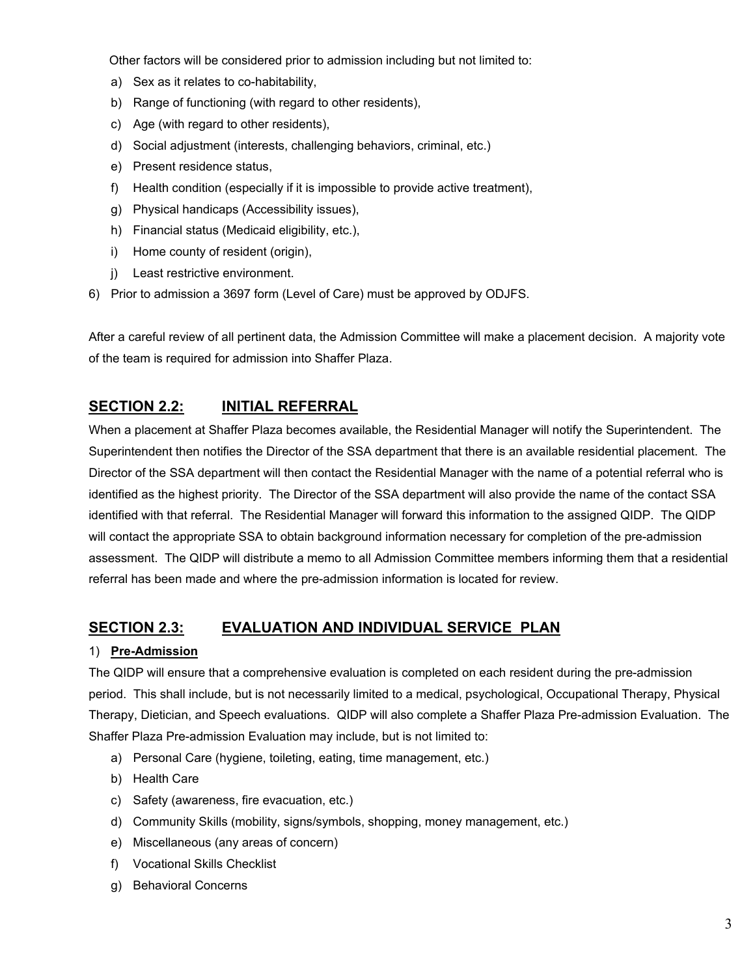Other factors will be considered prior to admission including but not limited to:

- a) Sex as it relates to co-habitability,
- b) Range of functioning (with regard to other residents),
- c) Age (with regard to other residents),
- d) Social adjustment (interests, challenging behaviors, criminal, etc.)
- e) Present residence status,
- f) Health condition (especially if it is impossible to provide active treatment),
- g) Physical handicaps (Accessibility issues),
- h) Financial status (Medicaid eligibility, etc.),
- i) Home county of resident (origin),
- j) Least restrictive environment.
- 6) Prior to admission a 3697 form (Level of Care) must be approved by ODJFS.

After a careful review of all pertinent data, the Admission Committee will make a placement decision. A majority vote of the team is required for admission into Shaffer Plaza.

## **SECTION 2.2: INITIAL REFERRAL**

When a placement at Shaffer Plaza becomes available, the Residential Manager will notify the Superintendent. The Superintendent then notifies the Director of the SSA department that there is an available residential placement. The Director of the SSA department will then contact the Residential Manager with the name of a potential referral who is identified as the highest priority. The Director of the SSA department will also provide the name of the contact SSA identified with that referral. The Residential Manager will forward this information to the assigned QIDP. The QIDP will contact the appropriate SSA to obtain background information necessary for completion of the pre-admission assessment. The QIDP will distribute a memo to all Admission Committee members informing them that a residential referral has been made and where the pre-admission information is located for review.

### **SECTION 2.3: EVALUATION AND INDIVIDUAL SERVICE PLAN**

### 1) **Pre-Admission**

The QIDP will ensure that a comprehensive evaluation is completed on each resident during the pre-admission period. This shall include, but is not necessarily limited to a medical, psychological, Occupational Therapy, Physical Therapy, Dietician, and Speech evaluations. QIDP will also complete a Shaffer Plaza Pre-admission Evaluation. The Shaffer Plaza Pre-admission Evaluation may include, but is not limited to:

- a) Personal Care (hygiene, toileting, eating, time management, etc.)
- b) Health Care
- c) Safety (awareness, fire evacuation, etc.)
- d) Community Skills (mobility, signs/symbols, shopping, money management, etc.)
- e) Miscellaneous (any areas of concern)
- f) Vocational Skills Checklist
- g) Behavioral Concerns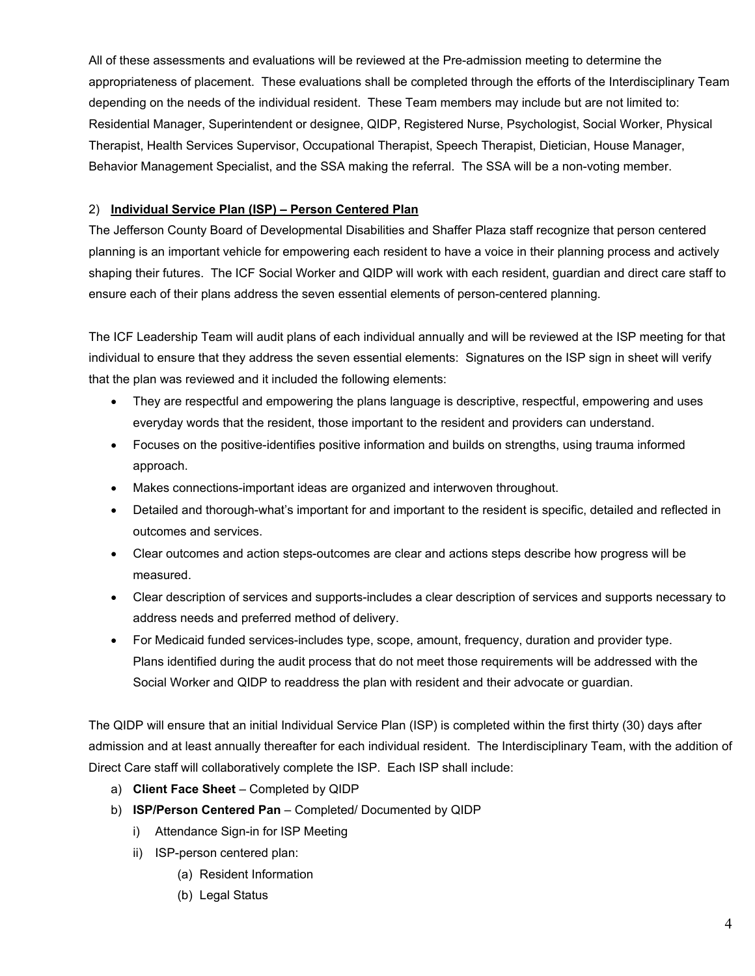All of these assessments and evaluations will be reviewed at the Pre-admission meeting to determine the appropriateness of placement. These evaluations shall be completed through the efforts of the Interdisciplinary Team depending on the needs of the individual resident. These Team members may include but are not limited to: Residential Manager, Superintendent or designee, QIDP, Registered Nurse, Psychologist, Social Worker, Physical Therapist, Health Services Supervisor, Occupational Therapist, Speech Therapist, Dietician, House Manager, Behavior Management Specialist, and the SSA making the referral. The SSA will be a non-voting member.

### 2) **Individual Service Plan (ISP) – Person Centered Plan**

The Jefferson County Board of Developmental Disabilities and Shaffer Plaza staff recognize that person centered planning is an important vehicle for empowering each resident to have a voice in their planning process and actively shaping their futures. The ICF Social Worker and QIDP will work with each resident, guardian and direct care staff to ensure each of their plans address the seven essential elements of person-centered planning.

The ICF Leadership Team will audit plans of each individual annually and will be reviewed at the ISP meeting for that individual to ensure that they address the seven essential elements: Signatures on the ISP sign in sheet will verify that the plan was reviewed and it included the following elements:

- They are respectful and empowering the plans language is descriptive, respectful, empowering and uses everyday words that the resident, those important to the resident and providers can understand.
- Focuses on the positive-identifies positive information and builds on strengths, using trauma informed approach.
- Makes connections-important ideas are organized and interwoven throughout.
- Detailed and thorough-what's important for and important to the resident is specific, detailed and reflected in outcomes and services.
- Clear outcomes and action steps-outcomes are clear and actions steps describe how progress will be measured.
- Clear description of services and supports-includes a clear description of services and supports necessary to address needs and preferred method of delivery.
- For Medicaid funded services-includes type, scope, amount, frequency, duration and provider type. Plans identified during the audit process that do not meet those requirements will be addressed with the Social Worker and QIDP to readdress the plan with resident and their advocate or guardian.

The QIDP will ensure that an initial Individual Service Plan (ISP) is completed within the first thirty (30) days after admission and at least annually thereafter for each individual resident. The Interdisciplinary Team, with the addition of Direct Care staff will collaboratively complete the ISP. Each ISP shall include:

- a) **Client Face Sheet**  Completed by QIDP
- b) **ISP/Person Centered Pan** Completed/ Documented by QIDP
	- i) Attendance Sign-in for ISP Meeting
	- ii) ISP-person centered plan:
		- (a) Resident Information
		- (b) Legal Status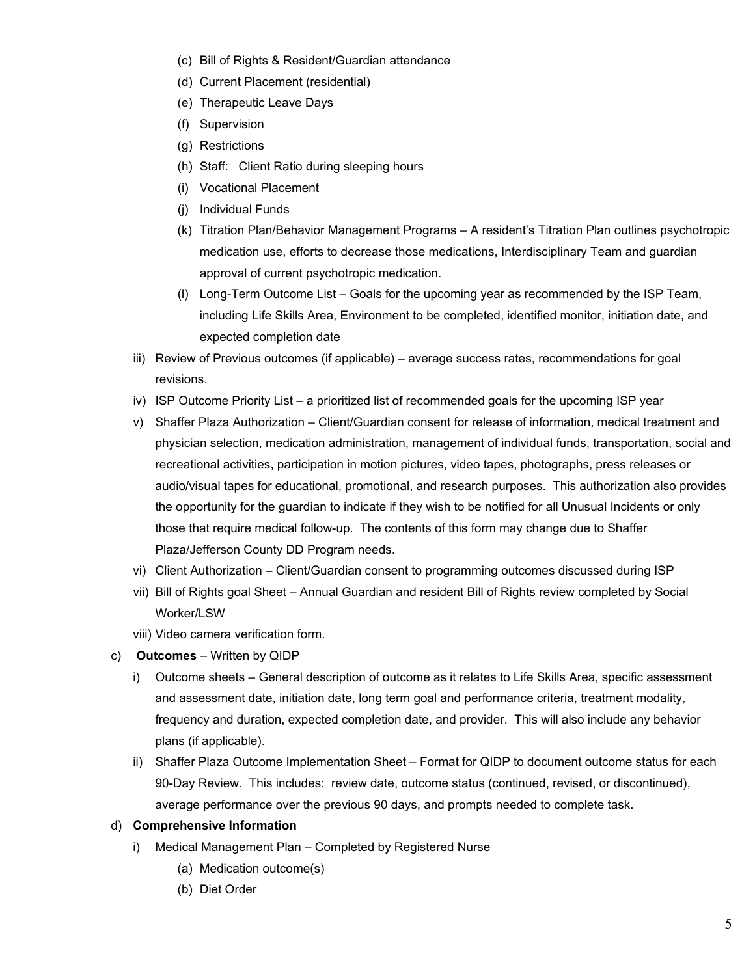- (c) Bill of Rights & Resident/Guardian attendance
- (d) Current Placement (residential)
- (e) Therapeutic Leave Days
- (f) Supervision
- (g) Restrictions
- (h) Staff: Client Ratio during sleeping hours
- (i) Vocational Placement
- (j) Individual Funds
- (k) Titration Plan/Behavior Management Programs A resident's Titration Plan outlines psychotropic medication use, efforts to decrease those medications, Interdisciplinary Team and guardian approval of current psychotropic medication.
- (l) Long-Term Outcome List Goals for the upcoming year as recommended by the ISP Team, including Life Skills Area, Environment to be completed, identified monitor, initiation date, and expected completion date
- iii) Review of Previous outcomes (if applicable) average success rates, recommendations for goal revisions.
- iv) ISP Outcome Priority List a prioritized list of recommended goals for the upcoming ISP year
- v) Shaffer Plaza Authorization Client/Guardian consent for release of information, medical treatment and physician selection, medication administration, management of individual funds, transportation, social and recreational activities, participation in motion pictures, video tapes, photographs, press releases or audio/visual tapes for educational, promotional, and research purposes. This authorization also provides the opportunity for the guardian to indicate if they wish to be notified for all Unusual Incidents or only those that require medical follow-up. The contents of this form may change due to Shaffer Plaza/Jefferson County DD Program needs.
- vi) Client Authorization Client/Guardian consent to programming outcomes discussed during ISP
- vii) Bill of Rights goal Sheet Annual Guardian and resident Bill of Rights review completed by Social Worker/LSW
- viii) Video camera verification form.
- c) **Outcomes** Written by QIDP
	- i) Outcome sheets General description of outcome as it relates to Life Skills Area, specific assessment and assessment date, initiation date, long term goal and performance criteria, treatment modality, frequency and duration, expected completion date, and provider. This will also include any behavior plans (if applicable).
	- ii) Shaffer Plaza Outcome Implementation Sheet Format for QIDP to document outcome status for each 90-Day Review. This includes: review date, outcome status (continued, revised, or discontinued), average performance over the previous 90 days, and prompts needed to complete task.

#### d) **Comprehensive Information**

- i) Medical Management Plan Completed by Registered Nurse
	- (a) Medication outcome(s)
	- (b) Diet Order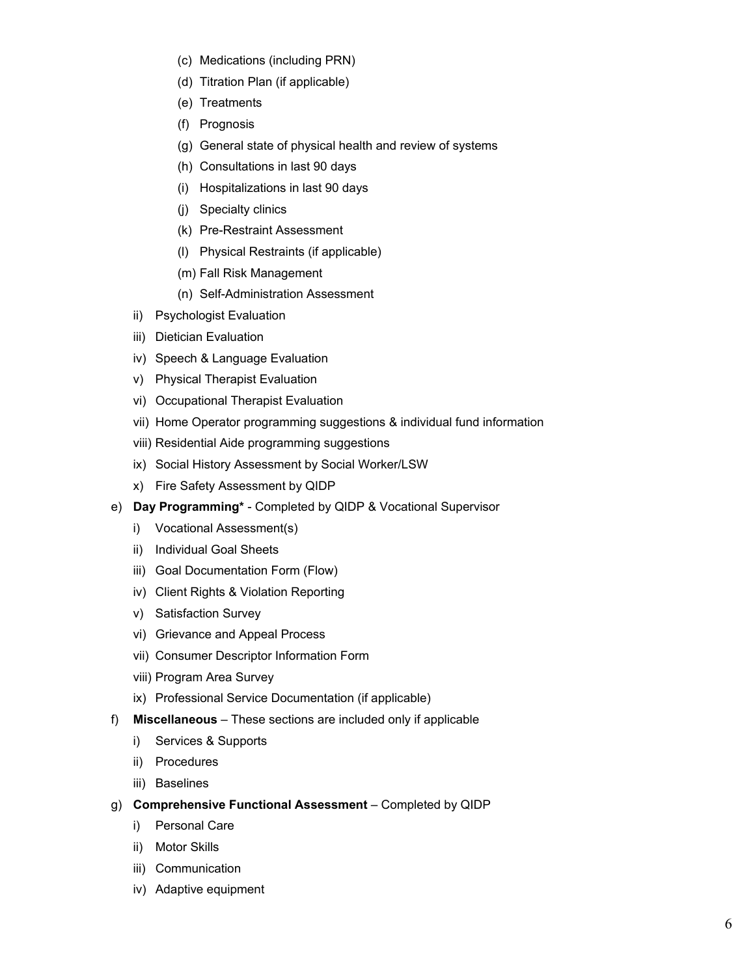- (c) Medications (including PRN)
- (d) Titration Plan (if applicable)
- (e) Treatments
- (f) Prognosis
- (g) General state of physical health and review of systems
- (h) Consultations in last 90 days
- (i) Hospitalizations in last 90 days
- (j) Specialty clinics
- (k) Pre-Restraint Assessment
- (l) Physical Restraints (if applicable)
- (m) Fall Risk Management
- (n) Self-Administration Assessment
- ii) Psychologist Evaluation
- iii) Dietician Evaluation
- iv) Speech & Language Evaluation
- v) Physical Therapist Evaluation
- vi) Occupational Therapist Evaluation
- vii) Home Operator programming suggestions & individual fund information
- viii) Residential Aide programming suggestions
- ix) Social History Assessment by Social Worker/LSW
- x) Fire Safety Assessment by QIDP
- e) **Day Programming\*** Completed by QIDP & Vocational Supervisor
	- i) Vocational Assessment(s)
	- ii) Individual Goal Sheets
	- iii) Goal Documentation Form (Flow)
	- iv) Client Rights & Violation Reporting
	- v) Satisfaction Survey
	- vi) Grievance and Appeal Process
	- vii) Consumer Descriptor Information Form
	- viii) Program Area Survey
	- ix) Professional Service Documentation (if applicable)
- f) **Miscellaneous** These sections are included only if applicable
	- i) Services & Supports
	- ii) Procedures
	- iii) Baselines
- g) **Comprehensive Functional Assessment** Completed by QIDP
	- i) Personal Care
	- ii) Motor Skills
	- iii) Communication
	- iv) Adaptive equipment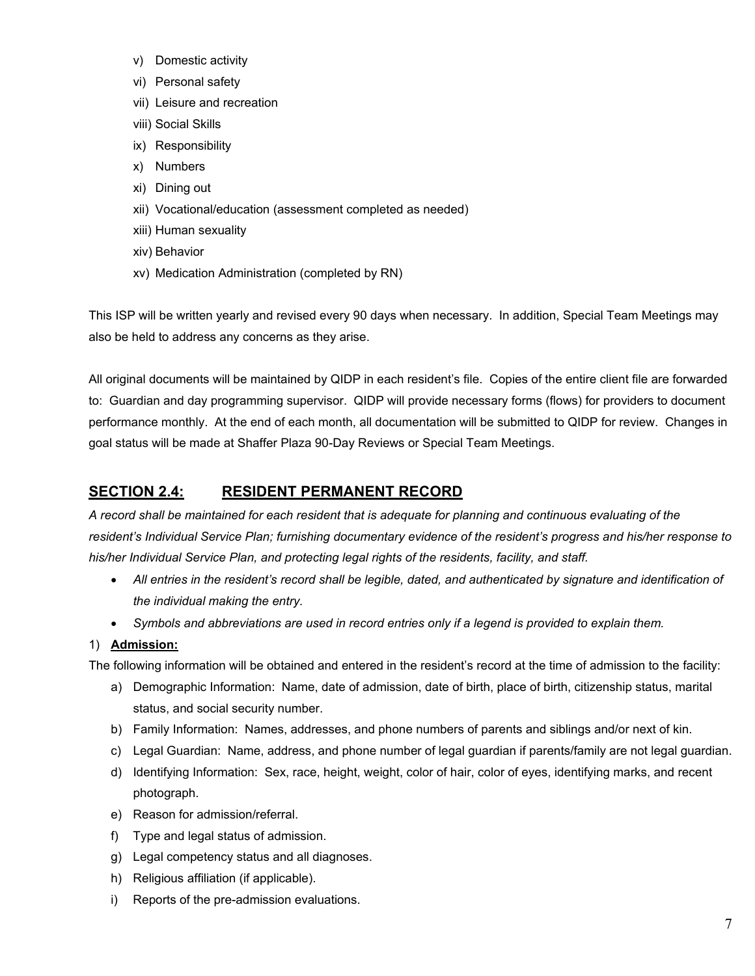- v) Domestic activity
- vi) Personal safety
- vii) Leisure and recreation
- viii) Social Skills
- ix) Responsibility
- x) Numbers
- xi) Dining out
- xii) Vocational/education (assessment completed as needed)
- xiii) Human sexuality
- xiv) Behavior
- xv) Medication Administration (completed by RN)

This ISP will be written yearly and revised every 90 days when necessary. In addition, Special Team Meetings may also be held to address any concerns as they arise.

All original documents will be maintained by QIDP in each resident's file. Copies of the entire client file are forwarded to: Guardian and day programming supervisor. QIDP will provide necessary forms (flows) for providers to document performance monthly. At the end of each month, all documentation will be submitted to QIDP for review. Changes in goal status will be made at Shaffer Plaza 90-Day Reviews or Special Team Meetings.

# **SECTION 2.4: RESIDENT PERMANENT RECORD**

*A record shall be maintained for each resident that is adequate for planning and continuous evaluating of the resident's Individual Service Plan; furnishing documentary evidence of the resident's progress and his/her response to his/her Individual Service Plan, and protecting legal rights of the residents, facility, and staff.*

- *All entries in the resident's record shall be legible, dated, and authenticated by signature and identification of the individual making the entry.*
- *Symbols and abbreviations are used in record entries only if a legend is provided to explain them.*

### 1) **Admission:**

The following information will be obtained and entered in the resident's record at the time of admission to the facility:

- a) Demographic Information: Name, date of admission, date of birth, place of birth, citizenship status, marital status, and social security number.
- b) Family Information: Names, addresses, and phone numbers of parents and siblings and/or next of kin.
- c) Legal Guardian: Name, address, and phone number of legal guardian if parents/family are not legal guardian.
- d) Identifying Information: Sex, race, height, weight, color of hair, color of eyes, identifying marks, and recent photograph.
- e) Reason for admission/referral.
- f) Type and legal status of admission.
- g) Legal competency status and all diagnoses.
- h) Religious affiliation (if applicable).
- i) Reports of the pre-admission evaluations.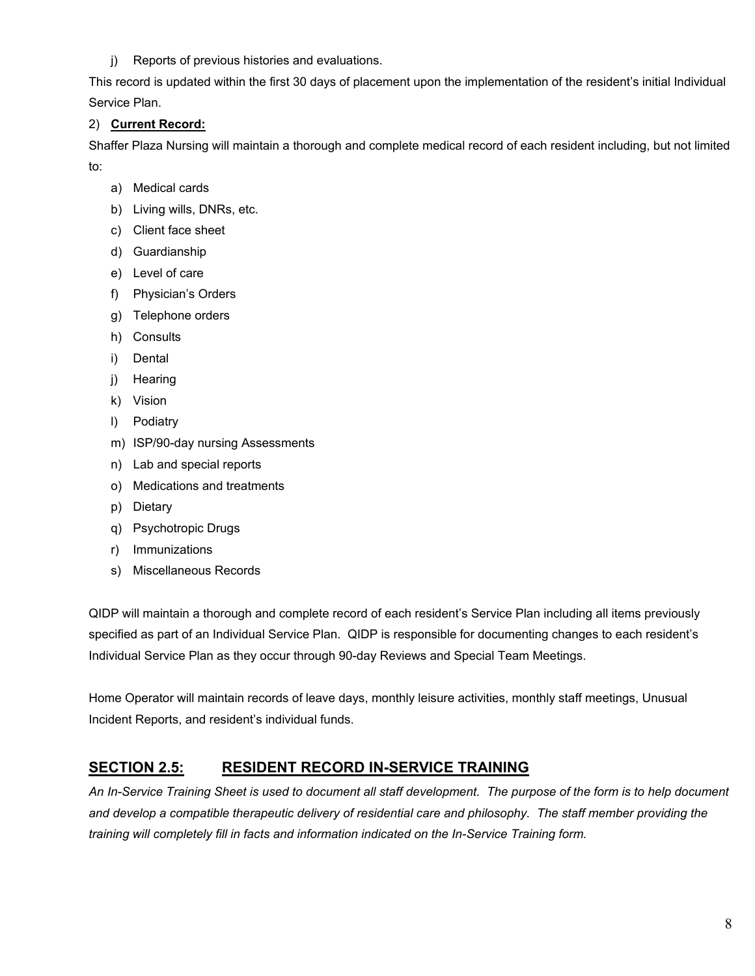### j) Reports of previous histories and evaluations.

This record is updated within the first 30 days of placement upon the implementation of the resident's initial Individual Service Plan.

### 2) **Current Record:**

Shaffer Plaza Nursing will maintain a thorough and complete medical record of each resident including, but not limited to:

- a) Medical cards
- b) Living wills, DNRs, etc.
- c) Client face sheet
- d) Guardianship
- e) Level of care
- f) Physician's Orders
- g) Telephone orders
- h) Consults
- i) Dental
- j) Hearing
- k) Vision
- l) Podiatry
- m) ISP/90-day nursing Assessments
- n) Lab and special reports
- o) Medications and treatments
- p) Dietary
- q) Psychotropic Drugs
- r) Immunizations
- s) Miscellaneous Records

QIDP will maintain a thorough and complete record of each resident's Service Plan including all items previously specified as part of an Individual Service Plan. QIDP is responsible for documenting changes to each resident's Individual Service Plan as they occur through 90-day Reviews and Special Team Meetings.

Home Operator will maintain records of leave days, monthly leisure activities, monthly staff meetings, Unusual Incident Reports, and resident's individual funds.

# **SECTION 2.5: RESIDENT RECORD IN-SERVICE TRAINING**

*An In-Service Training Sheet is used to document all staff development. The purpose of the form is to help document and develop a compatible therapeutic delivery of residential care and philosophy. The staff member providing the training will completely fill in facts and information indicated on the In-Service Training form.*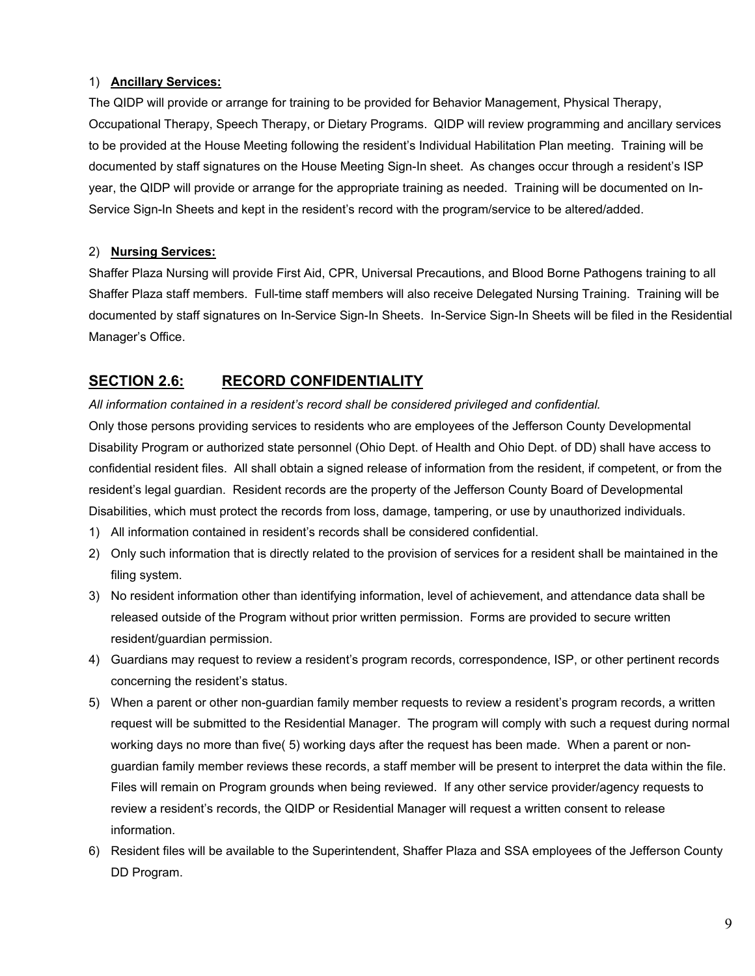### 1) **Ancillary Services:**

The QIDP will provide or arrange for training to be provided for Behavior Management, Physical Therapy, Occupational Therapy, Speech Therapy, or Dietary Programs. QIDP will review programming and ancillary services to be provided at the House Meeting following the resident's Individual Habilitation Plan meeting. Training will be documented by staff signatures on the House Meeting Sign-In sheet. As changes occur through a resident's ISP year, the QIDP will provide or arrange for the appropriate training as needed. Training will be documented on In-Service Sign-In Sheets and kept in the resident's record with the program/service to be altered/added.

### 2) **Nursing Services:**

Shaffer Plaza Nursing will provide First Aid, CPR, Universal Precautions, and Blood Borne Pathogens training to all Shaffer Plaza staff members. Full-time staff members will also receive Delegated Nursing Training. Training will be documented by staff signatures on In-Service Sign-In Sheets. In-Service Sign-In Sheets will be filed in the Residential Manager's Office.

## **SECTION 2.6: RECORD CONFIDENTIALITY**

*All information contained in a resident's record shall be considered privileged and confidential.* Only those persons providing services to residents who are employees of the Jefferson County Developmental Disability Program or authorized state personnel (Ohio Dept. of Health and Ohio Dept. of DD) shall have access to confidential resident files. All shall obtain a signed release of information from the resident, if competent, or from the resident's legal guardian. Resident records are the property of the Jefferson County Board of Developmental Disabilities, which must protect the records from loss, damage, tampering, or use by unauthorized individuals.

- 1) All information contained in resident's records shall be considered confidential.
- 2) Only such information that is directly related to the provision of services for a resident shall be maintained in the filing system.
- 3) No resident information other than identifying information, level of achievement, and attendance data shall be released outside of the Program without prior written permission. Forms are provided to secure written resident/guardian permission.
- 4) Guardians may request to review a resident's program records, correspondence, ISP, or other pertinent records concerning the resident's status.
- 5) When a parent or other non-guardian family member requests to review a resident's program records, a written request will be submitted to the Residential Manager. The program will comply with such a request during normal working days no more than five( 5) working days after the request has been made. When a parent or nonguardian family member reviews these records, a staff member will be present to interpret the data within the file. Files will remain on Program grounds when being reviewed. If any other service provider/agency requests to review a resident's records, the QIDP or Residential Manager will request a written consent to release information.
- 6) Resident files will be available to the Superintendent, Shaffer Plaza and SSA employees of the Jefferson County DD Program.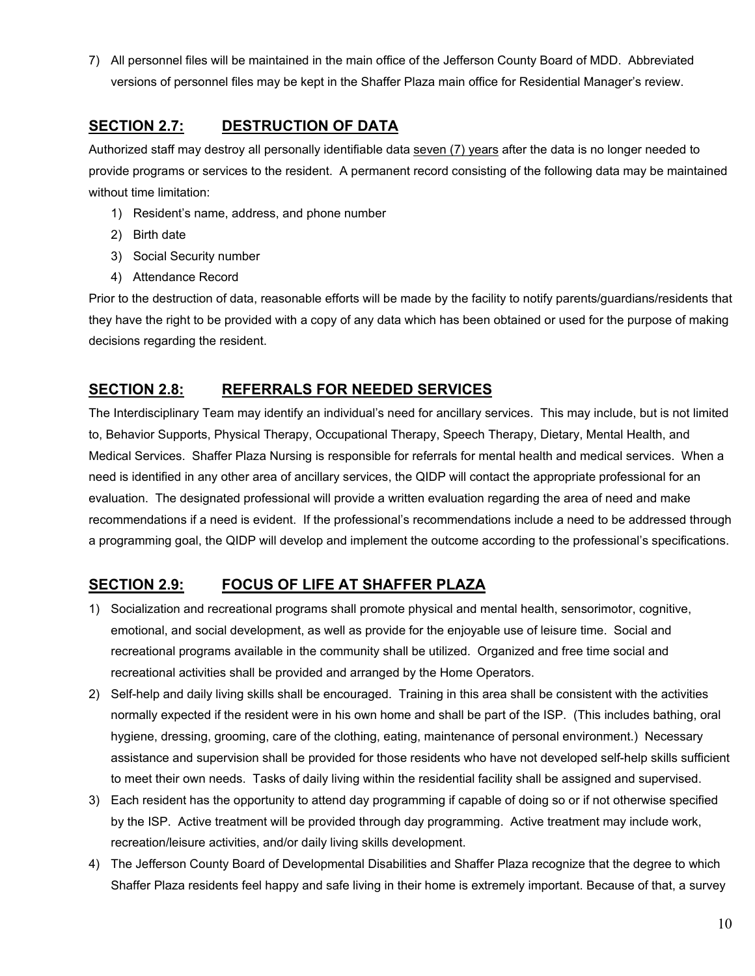7) All personnel files will be maintained in the main office of the Jefferson County Board of MDD. Abbreviated versions of personnel files may be kept in the Shaffer Plaza main office for Residential Manager's review.

# **SECTION 2.7: DESTRUCTION OF DATA**

Authorized staff may destroy all personally identifiable data seven (7) years after the data is no longer needed to provide programs or services to the resident. A permanent record consisting of the following data may be maintained without time limitation:

- 1) Resident's name, address, and phone number
- 2) Birth date
- 3) Social Security number
- 4) Attendance Record

Prior to the destruction of data, reasonable efforts will be made by the facility to notify parents/guardians/residents that they have the right to be provided with a copy of any data which has been obtained or used for the purpose of making decisions regarding the resident.

# **SECTION 2.8: REFERRALS FOR NEEDED SERVICES**

The Interdisciplinary Team may identify an individual's need for ancillary services. This may include, but is not limited to, Behavior Supports, Physical Therapy, Occupational Therapy, Speech Therapy, Dietary, Mental Health, and Medical Services. Shaffer Plaza Nursing is responsible for referrals for mental health and medical services. When a need is identified in any other area of ancillary services, the QIDP will contact the appropriate professional for an evaluation. The designated professional will provide a written evaluation regarding the area of need and make recommendations if a need is evident. If the professional's recommendations include a need to be addressed through a programming goal, the QIDP will develop and implement the outcome according to the professional's specifications.

# **SECTION 2.9: FOCUS OF LIFE AT SHAFFER PLAZA**

- 1) Socialization and recreational programs shall promote physical and mental health, sensorimotor, cognitive, emotional, and social development, as well as provide for the enjoyable use of leisure time. Social and recreational programs available in the community shall be utilized. Organized and free time social and recreational activities shall be provided and arranged by the Home Operators.
- 2) Self-help and daily living skills shall be encouraged. Training in this area shall be consistent with the activities normally expected if the resident were in his own home and shall be part of the ISP. (This includes bathing, oral hygiene, dressing, grooming, care of the clothing, eating, maintenance of personal environment.) Necessary assistance and supervision shall be provided for those residents who have not developed self-help skills sufficient to meet their own needs. Tasks of daily living within the residential facility shall be assigned and supervised.
- 3) Each resident has the opportunity to attend day programming if capable of doing so or if not otherwise specified by the ISP. Active treatment will be provided through day programming. Active treatment may include work, recreation/leisure activities, and/or daily living skills development.
- 4) The Jefferson County Board of Developmental Disabilities and Shaffer Plaza recognize that the degree to which Shaffer Plaza residents feel happy and safe living in their home is extremely important. Because of that, a survey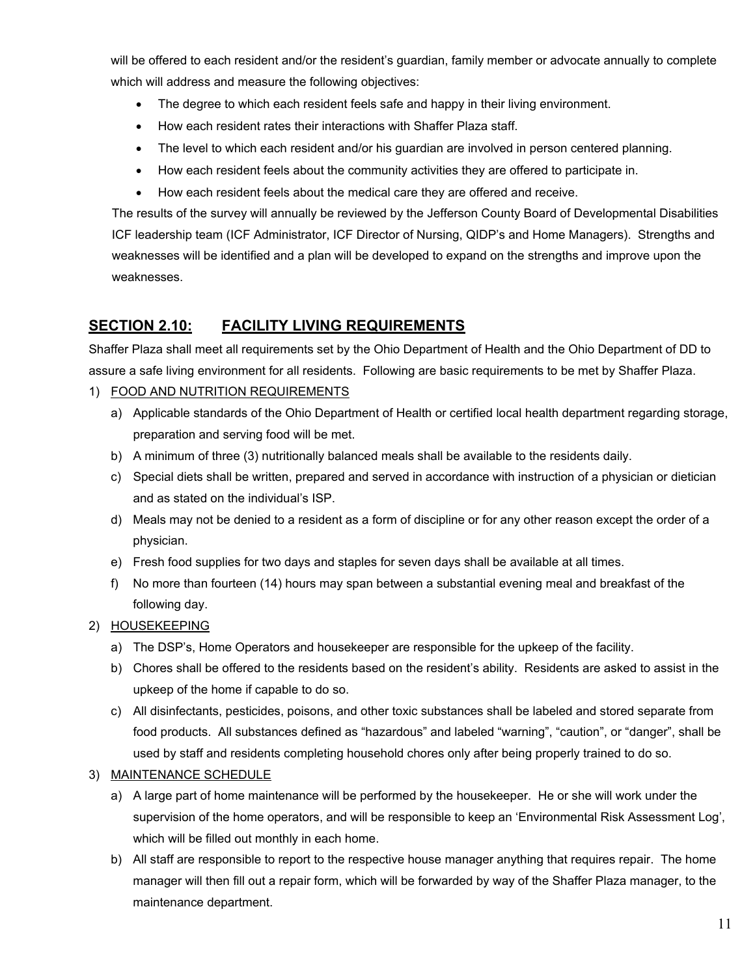will be offered to each resident and/or the resident's guardian, family member or advocate annually to complete which will address and measure the following objectives:

- The degree to which each resident feels safe and happy in their living environment.
- How each resident rates their interactions with Shaffer Plaza staff.
- The level to which each resident and/or his guardian are involved in person centered planning.
- How each resident feels about the community activities they are offered to participate in.
- How each resident feels about the medical care they are offered and receive.

The results of the survey will annually be reviewed by the Jefferson County Board of Developmental Disabilities ICF leadership team (ICF Administrator, ICF Director of Nursing, QIDP's and Home Managers). Strengths and weaknesses will be identified and a plan will be developed to expand on the strengths and improve upon the weaknesses.

## **SECTION 2.10: FACILITY LIVING REQUIREMENTS**

Shaffer Plaza shall meet all requirements set by the Ohio Department of Health and the Ohio Department of DD to assure a safe living environment for all residents. Following are basic requirements to be met by Shaffer Plaza.

### 1) FOOD AND NUTRITION REQUIREMENTS

- a) Applicable standards of the Ohio Department of Health or certified local health department regarding storage, preparation and serving food will be met.
- b) A minimum of three (3) nutritionally balanced meals shall be available to the residents daily.
- c) Special diets shall be written, prepared and served in accordance with instruction of a physician or dietician and as stated on the individual's ISP.
- d) Meals may not be denied to a resident as a form of discipline or for any other reason except the order of a physician.
- e) Fresh food supplies for two days and staples for seven days shall be available at all times.
- f) No more than fourteen (14) hours may span between a substantial evening meal and breakfast of the following day.

### 2) HOUSEKEEPING

- a) The DSP's, Home Operators and housekeeper are responsible for the upkeep of the facility.
- b) Chores shall be offered to the residents based on the resident's ability. Residents are asked to assist in the upkeep of the home if capable to do so.
- c) All disinfectants, pesticides, poisons, and other toxic substances shall be labeled and stored separate from food products. All substances defined as "hazardous" and labeled "warning", "caution", or "danger", shall be used by staff and residents completing household chores only after being properly trained to do so.

### 3) MAINTENANCE SCHEDULE

- a) A large part of home maintenance will be performed by the housekeeper. He or she will work under the supervision of the home operators, and will be responsible to keep an 'Environmental Risk Assessment Log', which will be filled out monthly in each home.
- b) All staff are responsible to report to the respective house manager anything that requires repair. The home manager will then fill out a repair form, which will be forwarded by way of the Shaffer Plaza manager, to the maintenance department.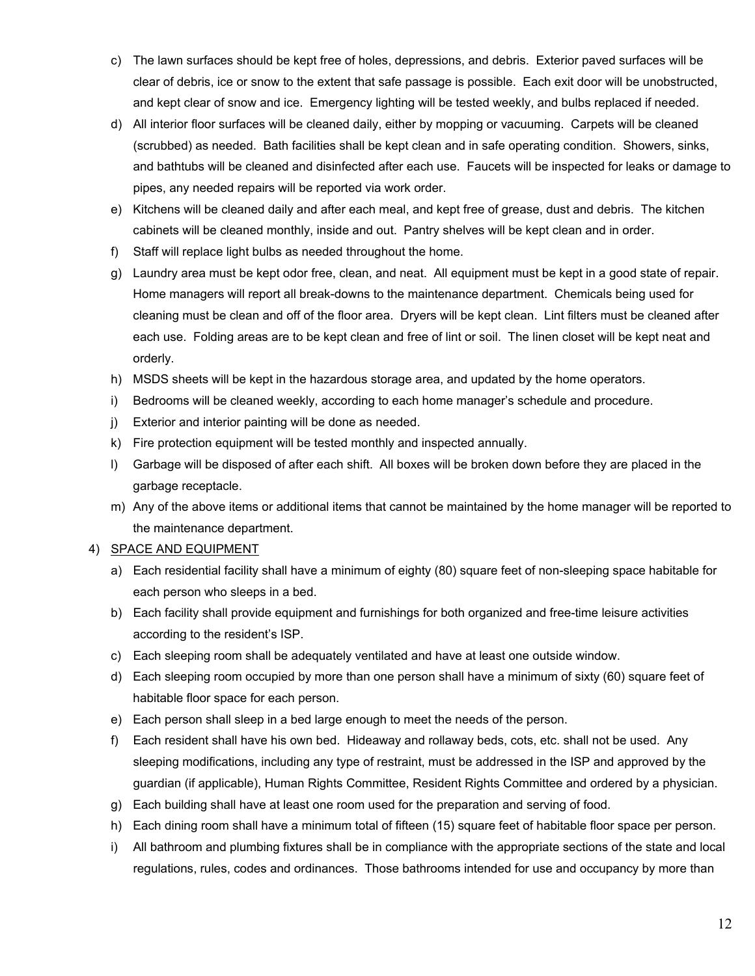- c) The lawn surfaces should be kept free of holes, depressions, and debris. Exterior paved surfaces will be clear of debris, ice or snow to the extent that safe passage is possible. Each exit door will be unobstructed, and kept clear of snow and ice. Emergency lighting will be tested weekly, and bulbs replaced if needed.
- d) All interior floor surfaces will be cleaned daily, either by mopping or vacuuming. Carpets will be cleaned (scrubbed) as needed. Bath facilities shall be kept clean and in safe operating condition. Showers, sinks, and bathtubs will be cleaned and disinfected after each use. Faucets will be inspected for leaks or damage to pipes, any needed repairs will be reported via work order.
- e) Kitchens will be cleaned daily and after each meal, and kept free of grease, dust and debris. The kitchen cabinets will be cleaned monthly, inside and out. Pantry shelves will be kept clean and in order.
- f) Staff will replace light bulbs as needed throughout the home.
- g) Laundry area must be kept odor free, clean, and neat. All equipment must be kept in a good state of repair. Home managers will report all break-downs to the maintenance department. Chemicals being used for cleaning must be clean and off of the floor area. Dryers will be kept clean. Lint filters must be cleaned after each use. Folding areas are to be kept clean and free of lint or soil. The linen closet will be kept neat and orderly.
- h) MSDS sheets will be kept in the hazardous storage area, and updated by the home operators.
- i) Bedrooms will be cleaned weekly, according to each home manager's schedule and procedure.
- j) Exterior and interior painting will be done as needed.
- k) Fire protection equipment will be tested monthly and inspected annually.
- l) Garbage will be disposed of after each shift. All boxes will be broken down before they are placed in the garbage receptacle.
- m) Any of the above items or additional items that cannot be maintained by the home manager will be reported to the maintenance department.

### 4) SPACE AND EQUIPMENT

- a) Each residential facility shall have a minimum of eighty (80) square feet of non-sleeping space habitable for each person who sleeps in a bed.
- b) Each facility shall provide equipment and furnishings for both organized and free-time leisure activities according to the resident's ISP.
- c) Each sleeping room shall be adequately ventilated and have at least one outside window.
- d) Each sleeping room occupied by more than one person shall have a minimum of sixty (60) square feet of habitable floor space for each person.
- e) Each person shall sleep in a bed large enough to meet the needs of the person.
- f) Each resident shall have his own bed. Hideaway and rollaway beds, cots, etc. shall not be used. Any sleeping modifications, including any type of restraint, must be addressed in the ISP and approved by the guardian (if applicable), Human Rights Committee, Resident Rights Committee and ordered by a physician.
- g) Each building shall have at least one room used for the preparation and serving of food.
- h) Each dining room shall have a minimum total of fifteen (15) square feet of habitable floor space per person.
- i) All bathroom and plumbing fixtures shall be in compliance with the appropriate sections of the state and local regulations, rules, codes and ordinances. Those bathrooms intended for use and occupancy by more than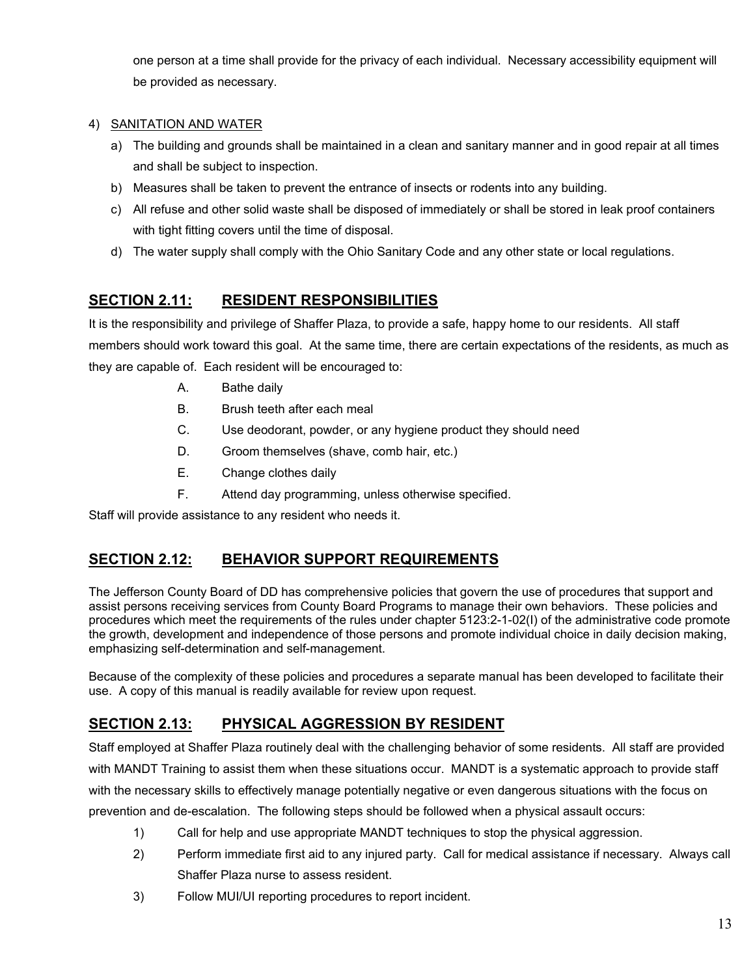one person at a time shall provide for the privacy of each individual. Necessary accessibility equipment will be provided as necessary.

### 4) SANITATION AND WATER

- a) The building and grounds shall be maintained in a clean and sanitary manner and in good repair at all times and shall be subject to inspection.
- b) Measures shall be taken to prevent the entrance of insects or rodents into any building.
- c) All refuse and other solid waste shall be disposed of immediately or shall be stored in leak proof containers with tight fitting covers until the time of disposal.
- d) The water supply shall comply with the Ohio Sanitary Code and any other state or local regulations.

# **SECTION 2.11: RESIDENT RESPONSIBILITIES**

It is the responsibility and privilege of Shaffer Plaza, to provide a safe, happy home to our residents. All staff members should work toward this goal. At the same time, there are certain expectations of the residents, as much as they are capable of. Each resident will be encouraged to:

- A. Bathe daily
- B. Brush teeth after each meal
- C. Use deodorant, powder, or any hygiene product they should need
- D. Groom themselves (shave, comb hair, etc.)
- E. Change clothes daily
- F. Attend day programming, unless otherwise specified.

Staff will provide assistance to any resident who needs it.

# **SECTION 2.12: BEHAVIOR SUPPORT REQUIREMENTS**

The Jefferson County Board of DD has comprehensive policies that govern the use of procedures that support and assist persons receiving services from County Board Programs to manage their own behaviors. These policies and procedures which meet the requirements of the rules under chapter 5123:2-1-02(I) of the administrative code promote the growth, development and independence of those persons and promote individual choice in daily decision making, emphasizing self-determination and self-management.

Because of the complexity of these policies and procedures a separate manual has been developed to facilitate their use. A copy of this manual is readily available for review upon request.

# **SECTION 2.13: PHYSICAL AGGRESSION BY RESIDENT**

Staff employed at Shaffer Plaza routinely deal with the challenging behavior of some residents. All staff are provided with MANDT Training to assist them when these situations occur. MANDT is a systematic approach to provide staff with the necessary skills to effectively manage potentially negative or even dangerous situations with the focus on prevention and de-escalation. The following steps should be followed when a physical assault occurs:

- 1) Call for help and use appropriate MANDT techniques to stop the physical aggression.
- 2) Perform immediate first aid to any injured party. Call for medical assistance if necessary. Always call Shaffer Plaza nurse to assess resident.
- 3) Follow MUI/UI reporting procedures to report incident.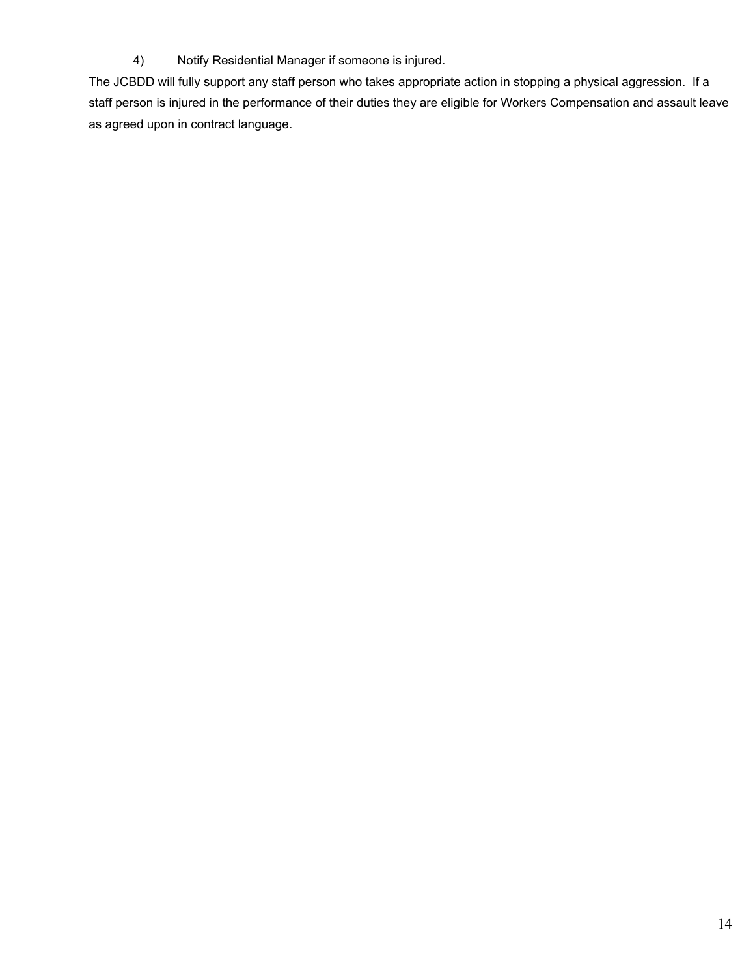4) Notify Residential Manager if someone is injured.

The JCBDD will fully support any staff person who takes appropriate action in stopping a physical aggression. If a staff person is injured in the performance of their duties they are eligible for Workers Compensation and assault leave as agreed upon in contract language.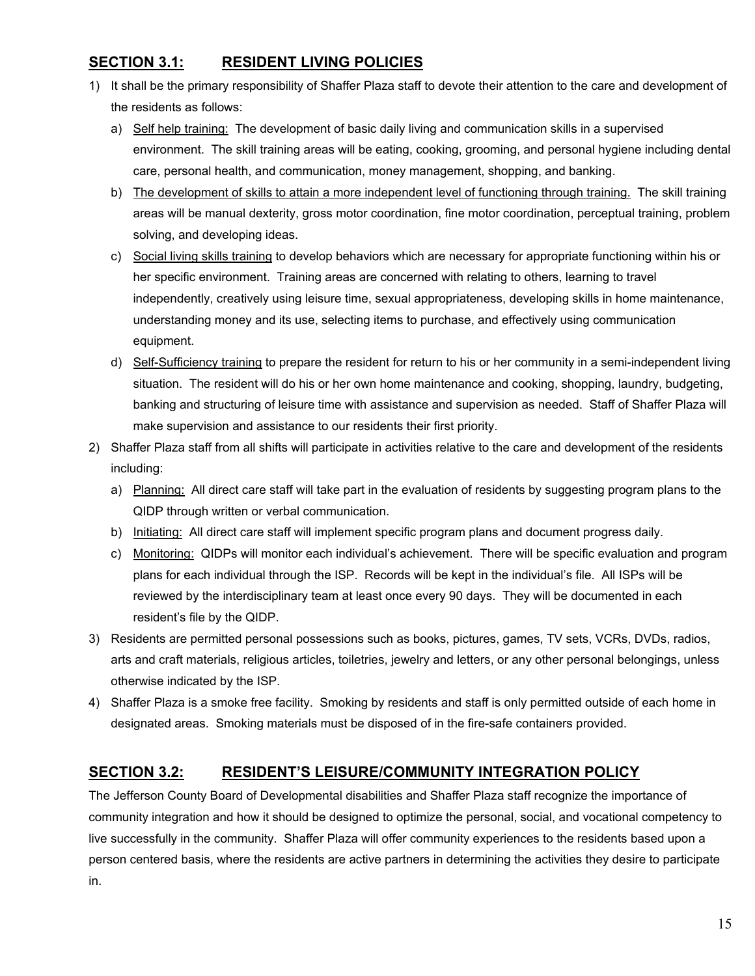## **SECTION 3.1: RESIDENT LIVING POLICIES**

- 1) It shall be the primary responsibility of Shaffer Plaza staff to devote their attention to the care and development of the residents as follows:
	- a) Self help training: The development of basic daily living and communication skills in a supervised environment. The skill training areas will be eating, cooking, grooming, and personal hygiene including dental care, personal health, and communication, money management, shopping, and banking.
	- b) The development of skills to attain a more independent level of functioning through training. The skill training areas will be manual dexterity, gross motor coordination, fine motor coordination, perceptual training, problem solving, and developing ideas.
	- c) Social living skills training to develop behaviors which are necessary for appropriate functioning within his or her specific environment. Training areas are concerned with relating to others, learning to travel independently, creatively using leisure time, sexual appropriateness, developing skills in home maintenance, understanding money and its use, selecting items to purchase, and effectively using communication equipment.
	- d) Self-Sufficiency training to prepare the resident for return to his or her community in a semi-independent living situation. The resident will do his or her own home maintenance and cooking, shopping, laundry, budgeting, banking and structuring of leisure time with assistance and supervision as needed. Staff of Shaffer Plaza will make supervision and assistance to our residents their first priority.
- 2) Shaffer Plaza staff from all shifts will participate in activities relative to the care and development of the residents including:
	- a) Planning: All direct care staff will take part in the evaluation of residents by suggesting program plans to the QIDP through written or verbal communication.
	- b) Initiating: All direct care staff will implement specific program plans and document progress daily.
	- c) Monitoring: QIDPs will monitor each individual's achievement. There will be specific evaluation and program plans for each individual through the ISP. Records will be kept in the individual's file. All ISPs will be reviewed by the interdisciplinary team at least once every 90 days. They will be documented in each resident's file by the QIDP.
- 3) Residents are permitted personal possessions such as books, pictures, games, TV sets, VCRs, DVDs, radios, arts and craft materials, religious articles, toiletries, jewelry and letters, or any other personal belongings, unless otherwise indicated by the ISP.
- 4) Shaffer Plaza is a smoke free facility. Smoking by residents and staff is only permitted outside of each home in designated areas. Smoking materials must be disposed of in the fire-safe containers provided.

### **SECTION 3.2: RESIDENT'S LEISURE/COMMUNITY INTEGRATION POLICY**

The Jefferson County Board of Developmental disabilities and Shaffer Plaza staff recognize the importance of community integration and how it should be designed to optimize the personal, social, and vocational competency to live successfully in the community. Shaffer Plaza will offer community experiences to the residents based upon a person centered basis, where the residents are active partners in determining the activities they desire to participate in.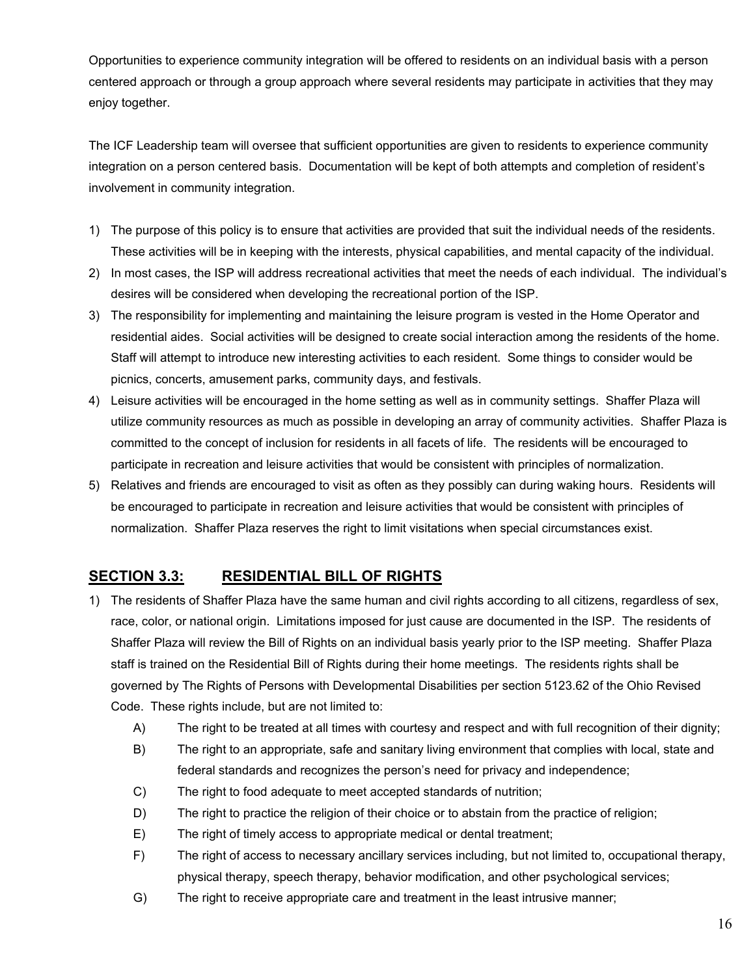Opportunities to experience community integration will be offered to residents on an individual basis with a person centered approach or through a group approach where several residents may participate in activities that they may enjoy together.

The ICF Leadership team will oversee that sufficient opportunities are given to residents to experience community integration on a person centered basis. Documentation will be kept of both attempts and completion of resident's involvement in community integration.

- 1) The purpose of this policy is to ensure that activities are provided that suit the individual needs of the residents. These activities will be in keeping with the interests, physical capabilities, and mental capacity of the individual.
- 2) In most cases, the ISP will address recreational activities that meet the needs of each individual. The individual's desires will be considered when developing the recreational portion of the ISP.
- 3) The responsibility for implementing and maintaining the leisure program is vested in the Home Operator and residential aides. Social activities will be designed to create social interaction among the residents of the home. Staff will attempt to introduce new interesting activities to each resident. Some things to consider would be picnics, concerts, amusement parks, community days, and festivals.
- 4) Leisure activities will be encouraged in the home setting as well as in community settings. Shaffer Plaza will utilize community resources as much as possible in developing an array of community activities. Shaffer Plaza is committed to the concept of inclusion for residents in all facets of life. The residents will be encouraged to participate in recreation and leisure activities that would be consistent with principles of normalization.
- 5) Relatives and friends are encouraged to visit as often as they possibly can during waking hours. Residents will be encouraged to participate in recreation and leisure activities that would be consistent with principles of normalization. Shaffer Plaza reserves the right to limit visitations when special circumstances exist.

# **SECTION 3.3: RESIDENTIAL BILL OF RIGHTS**

- 1) The residents of Shaffer Plaza have the same human and civil rights according to all citizens, regardless of sex, race, color, or national origin. Limitations imposed for just cause are documented in the ISP. The residents of Shaffer Plaza will review the Bill of Rights on an individual basis yearly prior to the ISP meeting. Shaffer Plaza staff is trained on the Residential Bill of Rights during their home meetings. The residents rights shall be governed by The Rights of Persons with Developmental Disabilities per section 5123.62 of the Ohio Revised Code. These rights include, but are not limited to:
	- A) The right to be treated at all times with courtesy and respect and with full recognition of their dignity;
	- B) The right to an appropriate, safe and sanitary living environment that complies with local, state and federal standards and recognizes the person's need for privacy and independence;
	- C) The right to food adequate to meet accepted standards of nutrition;
	- D) The right to practice the religion of their choice or to abstain from the practice of religion;
	- E) The right of timely access to appropriate medical or dental treatment;
	- F) The right of access to necessary ancillary services including, but not limited to, occupational therapy, physical therapy, speech therapy, behavior modification, and other psychological services;
	- G) The right to receive appropriate care and treatment in the least intrusive manner;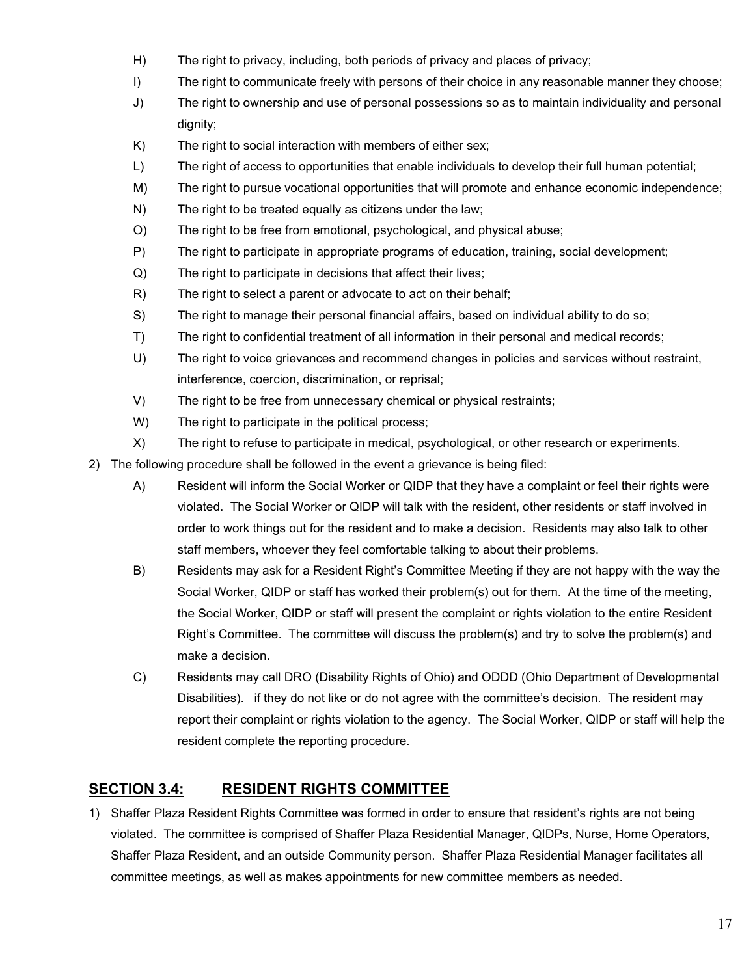- H) The right to privacy, including, both periods of privacy and places of privacy;
- I) The right to communicate freely with persons of their choice in any reasonable manner they choose;
- J) The right to ownership and use of personal possessions so as to maintain individuality and personal dignity;
- K) The right to social interaction with members of either sex;
- L) The right of access to opportunities that enable individuals to develop their full human potential;
- M) The right to pursue vocational opportunities that will promote and enhance economic independence;
- N) The right to be treated equally as citizens under the law;
- O) The right to be free from emotional, psychological, and physical abuse;
- P) The right to participate in appropriate programs of education, training, social development;
- Q) The right to participate in decisions that affect their lives;
- R) The right to select a parent or advocate to act on their behalf;
- S) The right to manage their personal financial affairs, based on individual ability to do so;
- T) The right to confidential treatment of all information in their personal and medical records;
- U) The right to voice grievances and recommend changes in policies and services without restraint, interference, coercion, discrimination, or reprisal;
- V) The right to be free from unnecessary chemical or physical restraints;
- W) The right to participate in the political process;
- X) The right to refuse to participate in medical, psychological, or other research or experiments.
- 2) The following procedure shall be followed in the event a grievance is being filed:
	- A) Resident will inform the Social Worker or QIDP that they have a complaint or feel their rights were violated. The Social Worker or QIDP will talk with the resident, other residents or staff involved in order to work things out for the resident and to make a decision. Residents may also talk to other staff members, whoever they feel comfortable talking to about their problems.
	- B) Residents may ask for a Resident Right's Committee Meeting if they are not happy with the way the Social Worker, QIDP or staff has worked their problem(s) out for them. At the time of the meeting, the Social Worker, QIDP or staff will present the complaint or rights violation to the entire Resident Right's Committee. The committee will discuss the problem(s) and try to solve the problem(s) and make a decision.
	- C) Residents may call DRO (Disability Rights of Ohio) and ODDD (Ohio Department of Developmental Disabilities). if they do not like or do not agree with the committee's decision. The resident may report their complaint or rights violation to the agency. The Social Worker, QIDP or staff will help the resident complete the reporting procedure.

# **SECTION 3.4: RESIDENT RIGHTS COMMITTEE**

1) Shaffer Plaza Resident Rights Committee was formed in order to ensure that resident's rights are not being violated. The committee is comprised of Shaffer Plaza Residential Manager, QIDPs, Nurse, Home Operators, Shaffer Plaza Resident, and an outside Community person. Shaffer Plaza Residential Manager facilitates all committee meetings, as well as makes appointments for new committee members as needed.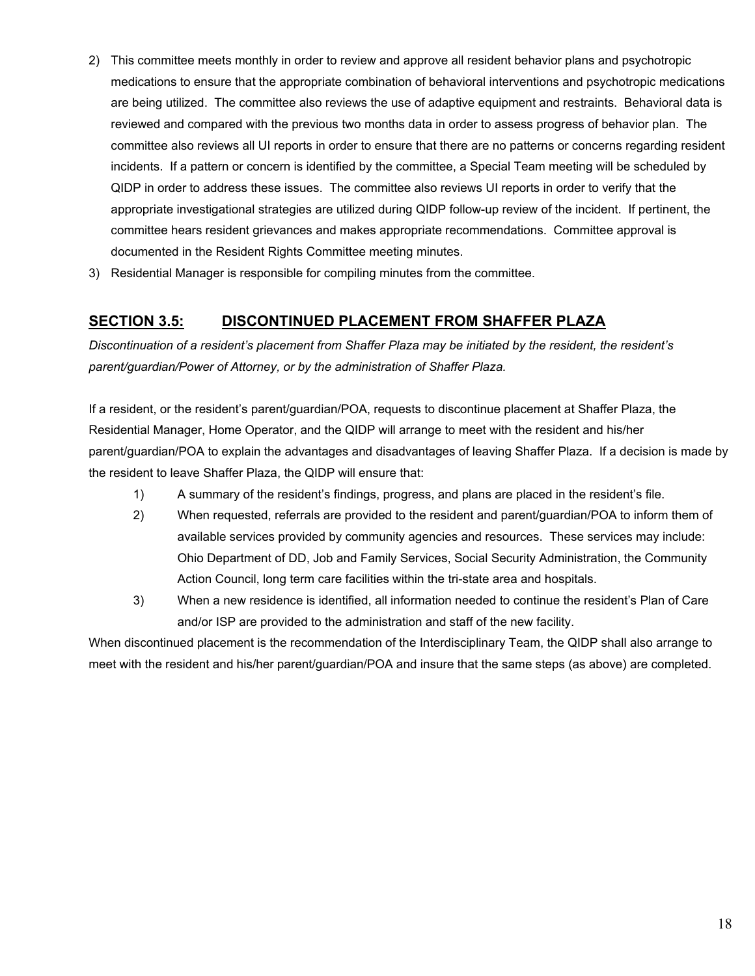- 2) This committee meets monthly in order to review and approve all resident behavior plans and psychotropic medications to ensure that the appropriate combination of behavioral interventions and psychotropic medications are being utilized. The committee also reviews the use of adaptive equipment and restraints. Behavioral data is reviewed and compared with the previous two months data in order to assess progress of behavior plan. The committee also reviews all UI reports in order to ensure that there are no patterns or concerns regarding resident incidents. If a pattern or concern is identified by the committee, a Special Team meeting will be scheduled by QIDP in order to address these issues. The committee also reviews UI reports in order to verify that the appropriate investigational strategies are utilized during QIDP follow-up review of the incident. If pertinent, the committee hears resident grievances and makes appropriate recommendations. Committee approval is documented in the Resident Rights Committee meeting minutes.
- 3) Residential Manager is responsible for compiling minutes from the committee.

# **SECTION 3.5: DISCONTINUED PLACEMENT FROM SHAFFER PLAZA**

*Discontinuation of a resident's placement from Shaffer Plaza may be initiated by the resident, the resident's parent/guardian/Power of Attorney, or by the administration of Shaffer Plaza.*

If a resident, or the resident's parent/guardian/POA, requests to discontinue placement at Shaffer Plaza, the Residential Manager, Home Operator, and the QIDP will arrange to meet with the resident and his/her parent/guardian/POA to explain the advantages and disadvantages of leaving Shaffer Plaza. If a decision is made by the resident to leave Shaffer Plaza, the QIDP will ensure that:

- 1) A summary of the resident's findings, progress, and plans are placed in the resident's file.
- 2) When requested, referrals are provided to the resident and parent/guardian/POA to inform them of available services provided by community agencies and resources. These services may include: Ohio Department of DD, Job and Family Services, Social Security Administration, the Community Action Council, long term care facilities within the tri-state area and hospitals.
- 3) When a new residence is identified, all information needed to continue the resident's Plan of Care and/or ISP are provided to the administration and staff of the new facility.

When discontinued placement is the recommendation of the Interdisciplinary Team, the QIDP shall also arrange to meet with the resident and his/her parent/guardian/POA and insure that the same steps (as above) are completed.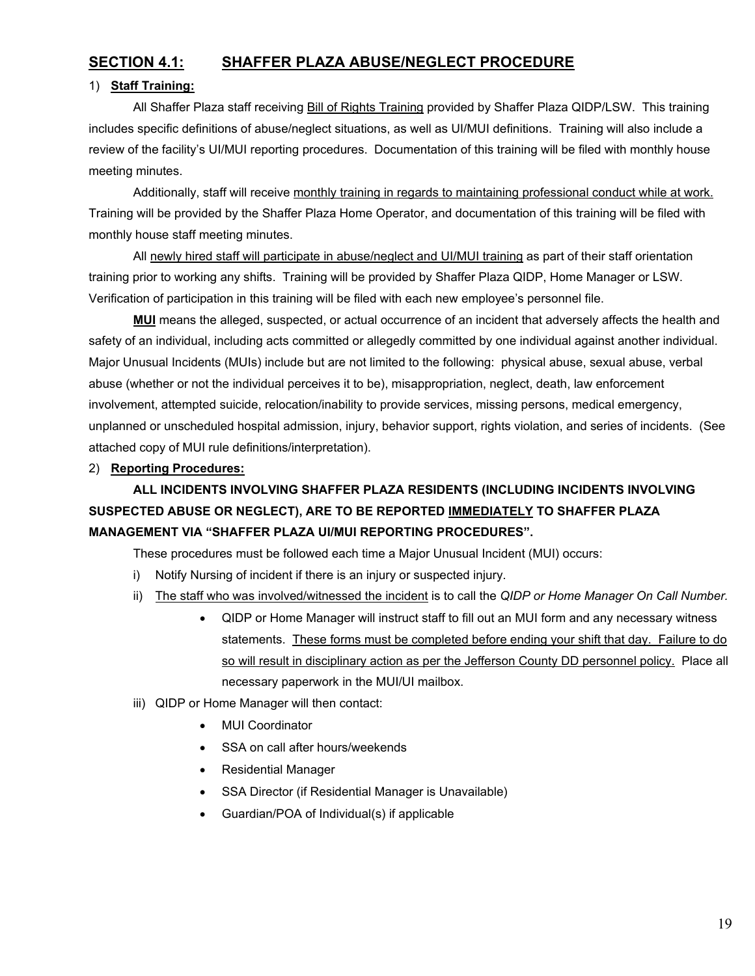### **SECTION 4.1: SHAFFER PLAZA ABUSE/NEGLECT PROCEDURE**

#### 1) **Staff Training:**

All Shaffer Plaza staff receiving Bill of Rights Training provided by Shaffer Plaza QIDP/LSW. This training includes specific definitions of abuse/neglect situations, as well as UI/MUI definitions. Training will also include a review of the facility's UI/MUI reporting procedures. Documentation of this training will be filed with monthly house meeting minutes.

Additionally, staff will receive monthly training in regards to maintaining professional conduct while at work. Training will be provided by the Shaffer Plaza Home Operator, and documentation of this training will be filed with monthly house staff meeting minutes.

All newly hired staff will participate in abuse/neglect and UI/MUI training as part of their staff orientation training prior to working any shifts. Training will be provided by Shaffer Plaza QIDP, Home Manager or LSW. Verification of participation in this training will be filed with each new employee's personnel file.

**MUI** means the alleged, suspected, or actual occurrence of an incident that adversely affects the health and safety of an individual, including acts committed or allegedly committed by one individual against another individual. Major Unusual Incidents (MUIs) include but are not limited to the following: physical abuse, sexual abuse, verbal abuse (whether or not the individual perceives it to be), misappropriation, neglect, death, law enforcement involvement, attempted suicide, relocation/inability to provide services, missing persons, medical emergency, unplanned or unscheduled hospital admission, injury, behavior support, rights violation, and series of incidents. (See attached copy of MUI rule definitions/interpretation).

### 2) **Reporting Procedures:**

# **ALL INCIDENTS INVOLVING SHAFFER PLAZA RESIDENTS (INCLUDING INCIDENTS INVOLVING SUSPECTED ABUSE OR NEGLECT), ARE TO BE REPORTED IMMEDIATELY TO SHAFFER PLAZA MANAGEMENT VIA "SHAFFER PLAZA UI/MUI REPORTING PROCEDURES".**

These procedures must be followed each time a Major Unusual Incident (MUI) occurs:

- i) Notify Nursing of incident if there is an injury or suspected injury.
- ii) The staff who was involved/witnessed the incident is to call the *QIDP or Home Manager On Call Number.*
	- QIDP or Home Manager will instruct staff to fill out an MUI form and any necessary witness statements. These forms must be completed before ending your shift that day. Failure to do so will result in disciplinary action as per the Jefferson County DD personnel policy. Place all necessary paperwork in the MUI/UI mailbox.
- iii) QIDP or Home Manager will then contact:
	- **MUI Coordinator**
	- SSA on call after hours/weekends
	- Residential Manager
	- SSA Director (if Residential Manager is Unavailable)
	- Guardian/POA of Individual(s) if applicable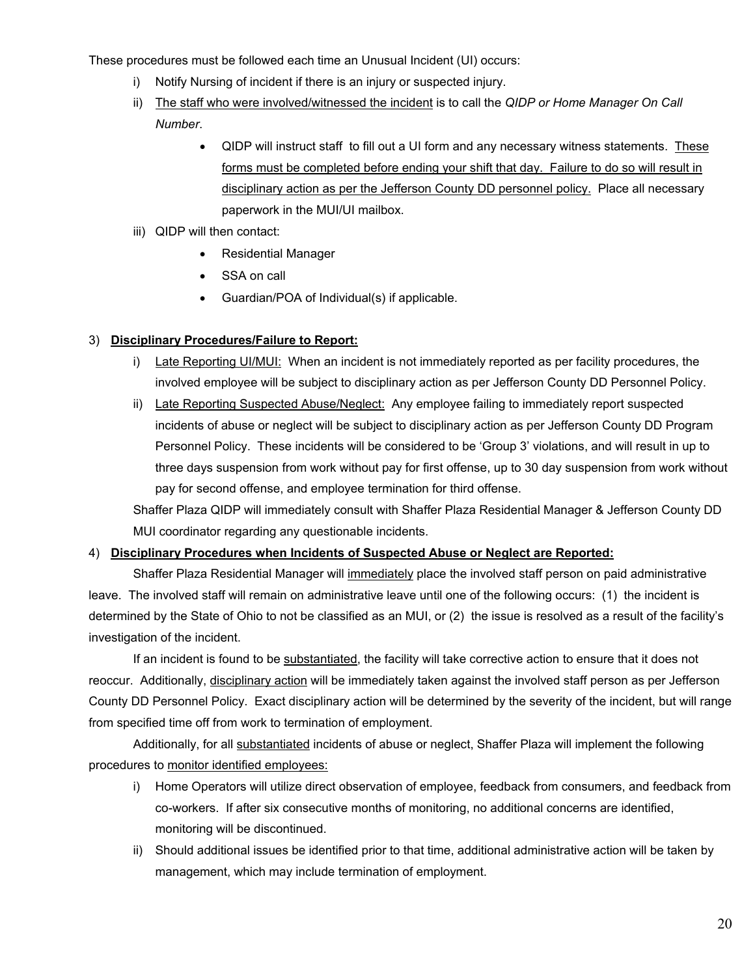These procedures must be followed each time an Unusual Incident (UI) occurs:

- i) Notify Nursing of incident if there is an injury or suspected injury.
- ii) The staff who were involved/witnessed the incident is to call the *QIDP or Home Manager On Call Number*.
	- QIDP will instruct staff to fill out a UI form and any necessary witness statements. These forms must be completed before ending your shift that day. Failure to do so will result in disciplinary action as per the Jefferson County DD personnel policy. Place all necessary paperwork in the MUI/UI mailbox.
- iii) QIDP will then contact:
	- Residential Manager
	- SSA on call
	- Guardian/POA of Individual(s) if applicable.

### 3) **Disciplinary Procedures/Failure to Report:**

- i) Late Reporting UI/MUI: When an incident is not immediately reported as per facility procedures, the involved employee will be subject to disciplinary action as per Jefferson County DD Personnel Policy.
- ii) Late Reporting Suspected Abuse/Neglect: Any employee failing to immediately report suspected incidents of abuse or neglect will be subject to disciplinary action as per Jefferson County DD Program Personnel Policy. These incidents will be considered to be 'Group 3' violations, and will result in up to three days suspension from work without pay for first offense, up to 30 day suspension from work without pay for second offense, and employee termination for third offense.

Shaffer Plaza QIDP will immediately consult with Shaffer Plaza Residential Manager & Jefferson County DD MUI coordinator regarding any questionable incidents.

### 4) **Disciplinary Procedures when Incidents of Suspected Abuse or Neglect are Reported:**

Shaffer Plaza Residential Manager will immediately place the involved staff person on paid administrative leave. The involved staff will remain on administrative leave until one of the following occurs: (1) the incident is determined by the State of Ohio to not be classified as an MUI, or (2) the issue is resolved as a result of the facility's investigation of the incident.

 If an incident is found to be substantiated, the facility will take corrective action to ensure that it does not reoccur. Additionally, disciplinary action will be immediately taken against the involved staff person as per Jefferson County DD Personnel Policy. Exact disciplinary action will be determined by the severity of the incident, but will range from specified time off from work to termination of employment.

Additionally, for all substantiated incidents of abuse or neglect, Shaffer Plaza will implement the following procedures to monitor identified employees:

- i) Home Operators will utilize direct observation of employee, feedback from consumers, and feedback from co-workers. If after six consecutive months of monitoring, no additional concerns are identified, monitoring will be discontinued.
- ii) Should additional issues be identified prior to that time, additional administrative action will be taken by management, which may include termination of employment.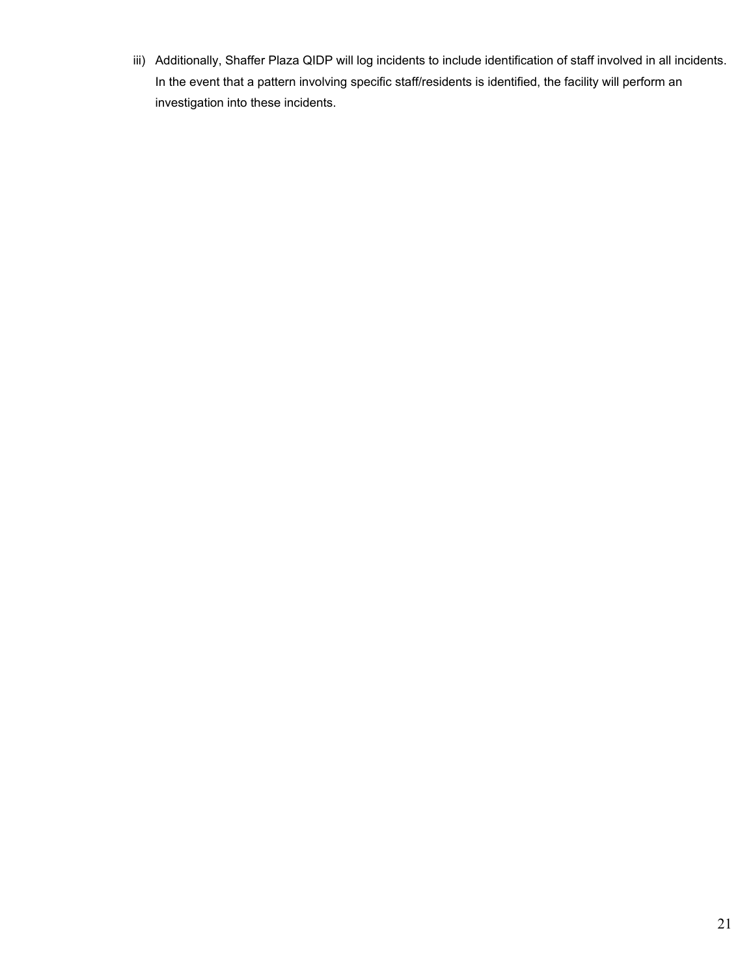iii) Additionally, Shaffer Plaza QIDP will log incidents to include identification of staff involved in all incidents. In the event that a pattern involving specific staff/residents is identified, the facility will perform an investigation into these incidents.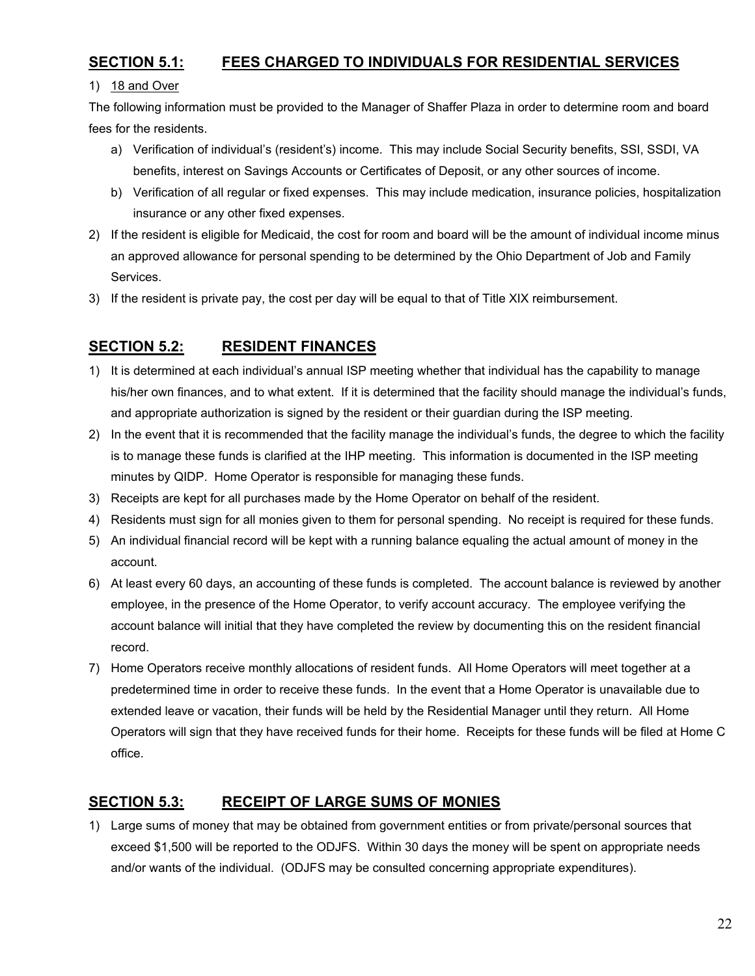### **SECTION 5.1: FEES CHARGED TO INDIVIDUALS FOR RESIDENTIAL SERVICES**

#### 1) 18 and Over

The following information must be provided to the Manager of Shaffer Plaza in order to determine room and board fees for the residents.

- a) Verification of individual's (resident's) income. This may include Social Security benefits, SSI, SSDI, VA benefits, interest on Savings Accounts or Certificates of Deposit, or any other sources of income.
- b) Verification of all regular or fixed expenses. This may include medication, insurance policies, hospitalization insurance or any other fixed expenses.
- 2) If the resident is eligible for Medicaid, the cost for room and board will be the amount of individual income minus an approved allowance for personal spending to be determined by the Ohio Department of Job and Family Services.
- 3) If the resident is private pay, the cost per day will be equal to that of Title XIX reimbursement.

### **SECTION 5.2: RESIDENT FINANCES**

- 1) It is determined at each individual's annual ISP meeting whether that individual has the capability to manage his/her own finances, and to what extent. If it is determined that the facility should manage the individual's funds, and appropriate authorization is signed by the resident or their guardian during the ISP meeting.
- 2) In the event that it is recommended that the facility manage the individual's funds, the degree to which the facility is to manage these funds is clarified at the IHP meeting. This information is documented in the ISP meeting minutes by QIDP. Home Operator is responsible for managing these funds.
- 3) Receipts are kept for all purchases made by the Home Operator on behalf of the resident.
- 4) Residents must sign for all monies given to them for personal spending. No receipt is required for these funds.
- 5) An individual financial record will be kept with a running balance equaling the actual amount of money in the account.
- 6) At least every 60 days, an accounting of these funds is completed. The account balance is reviewed by another employee, in the presence of the Home Operator, to verify account accuracy. The employee verifying the account balance will initial that they have completed the review by documenting this on the resident financial record.
- 7) Home Operators receive monthly allocations of resident funds. All Home Operators will meet together at a predetermined time in order to receive these funds. In the event that a Home Operator is unavailable due to extended leave or vacation, their funds will be held by the Residential Manager until they return. All Home Operators will sign that they have received funds for their home. Receipts for these funds will be filed at Home C office.

### **SECTION 5.3: RECEIPT OF LARGE SUMS OF MONIES**

1) Large sums of money that may be obtained from government entities or from private/personal sources that exceed \$1,500 will be reported to the ODJFS. Within 30 days the money will be spent on appropriate needs and/or wants of the individual. (ODJFS may be consulted concerning appropriate expenditures).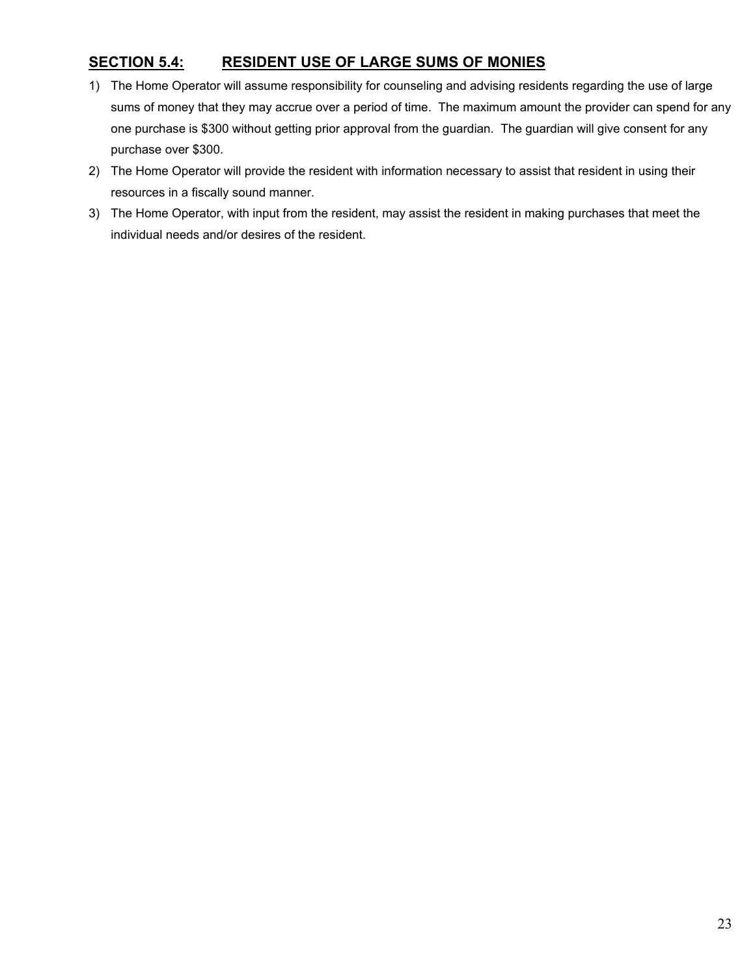# **SECTION 5.4: RESIDENT USE OF LARGE SUMS OF MONIES**

- 1) The Home Operator will assume responsibility for counseling and advising residents regarding the use of large sums of money that they may accrue over a period of time. The maximum amount the provider can spend for any one purchase is \$300 without getting prior approval from the guardian. The guardian will give consent for any purchase over \$300.
- 2) The Home Operator will provide the resident with information necessary to assist that resident in using their resources in a fiscally sound manner.
- 3) The Home Operator, with input from the resident, may assist the resident in making purchases that meet the individual needs and/or desires of the resident.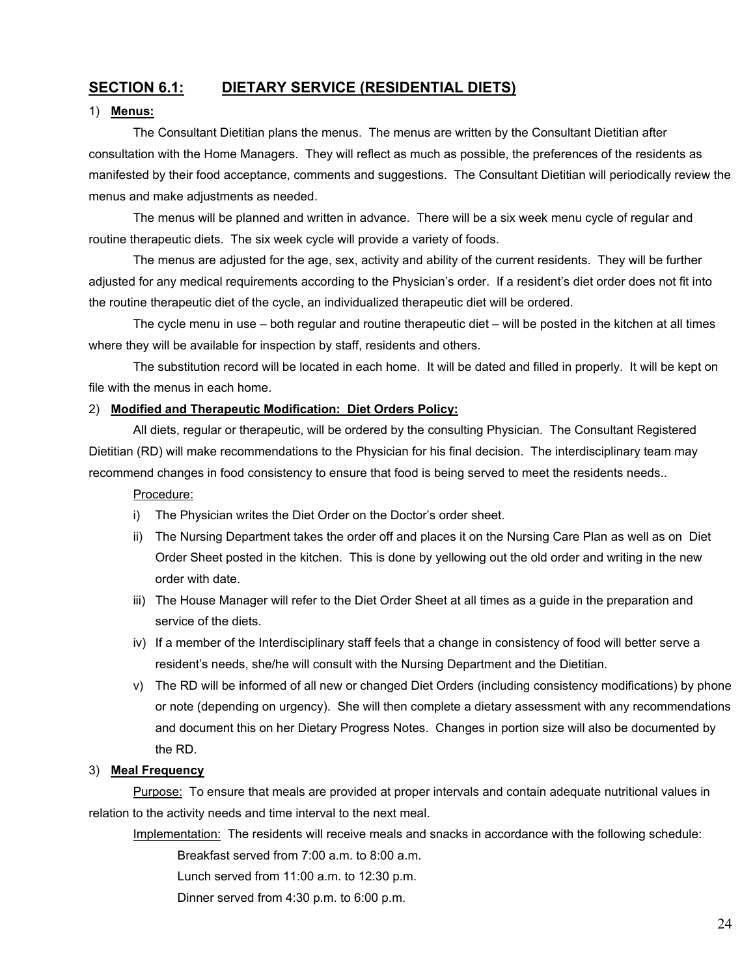# **SECTION 6.1: DIETARY SERVICE (RESIDENTIAL DIETS)**

#### 1) **Menus:**

The Consultant Dietitian plans the menus. The menus are written by the Consultant Dietitian after consultation with the Home Managers. They will reflect as much as possible, the preferences of the residents as manifested by their food acceptance, comments and suggestions. The Consultant Dietitian will periodically review the menus and make adjustments as needed.

The menus will be planned and written in advance. There will be a six week menu cycle of regular and routine therapeutic diets. The six week cycle will provide a variety of foods.

The menus are adjusted for the age, sex, activity and ability of the current residents. They will be further adjusted for any medical requirements according to the Physician's order. If a resident's diet order does not fit into the routine therapeutic diet of the cycle, an individualized therapeutic diet will be ordered.

The cycle menu in use – both regular and routine therapeutic diet – will be posted in the kitchen at all times where they will be available for inspection by staff, residents and others.

The substitution record will be located in each home. It will be dated and filled in properly. It will be kept on file with the menus in each home.

#### 2) **Modified and Therapeutic Modification: Diet Orders Policy:**

All diets, regular or therapeutic, will be ordered by the consulting Physician. The Consultant Registered Dietitian (RD) will make recommendations to the Physician for his final decision. The interdisciplinary team may recommend changes in food consistency to ensure that food is being served to meet the residents needs..

#### Procedure:

- i) The Physician writes the Diet Order on the Doctor's order sheet.
- ii) The Nursing Department takes the order off and places it on the Nursing Care Plan as well as on Diet Order Sheet posted in the kitchen. This is done by yellowing out the old order and writing in the new order with date.
- iii) The House Manager will refer to the Diet Order Sheet at all times as a guide in the preparation and service of the diets.
- iv) If a member of the Interdisciplinary staff feels that a change in consistency of food will better serve a resident's needs, she/he will consult with the Nursing Department and the Dietitian.
- v) The RD will be informed of all new or changed Diet Orders (including consistency modifications) by phone or note (depending on urgency). She will then complete a dietary assessment with any recommendations and document this on her Dietary Progress Notes. Changes in portion size will also be documented by the RD.

#### 3) **Meal Frequency**

Purpose: To ensure that meals are provided at proper intervals and contain adequate nutritional values in relation to the activity needs and time interval to the next meal.

Implementation: The residents will receive meals and snacks in accordance with the following schedule:

Breakfast served from 7:00 a.m. to 8:00 a.m.

Lunch served from 11:00 a.m. to 12:30 p.m.

Dinner served from 4:30 p.m. to 6:00 p.m.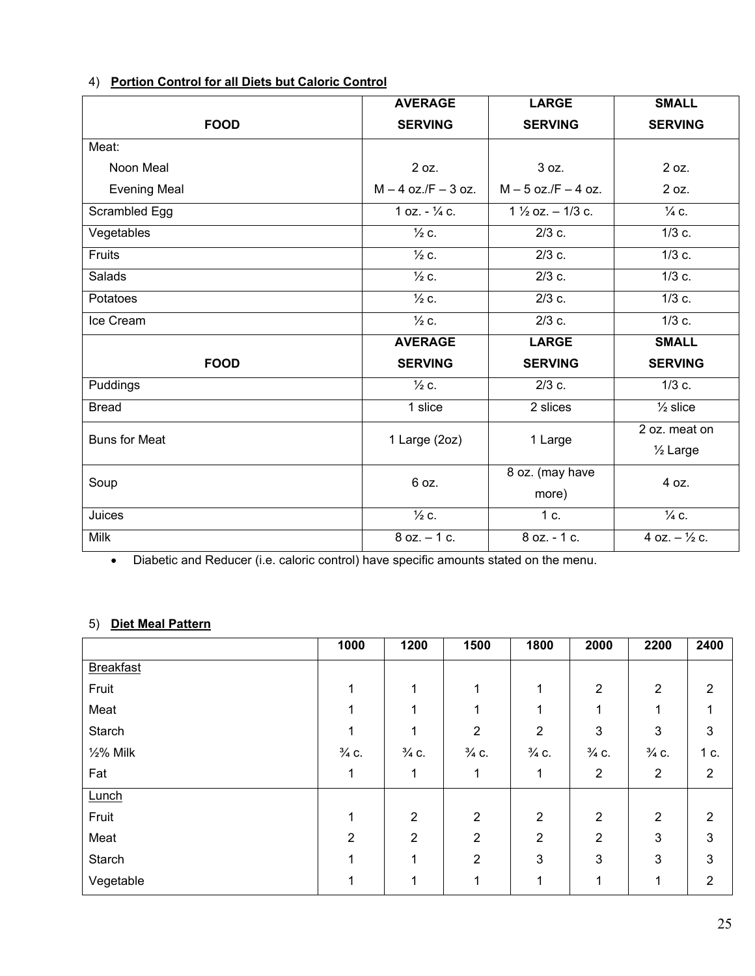|                      | <b>AVERAGE</b>          | <b>LARGE</b>                | <b>SMALL</b>            |  |
|----------------------|-------------------------|-----------------------------|-------------------------|--|
| <b>FOOD</b>          | <b>SERVING</b>          | <b>SERVING</b>              | <b>SERVING</b>          |  |
| Meat:                |                         |                             |                         |  |
| Noon Meal            | 2 oz.                   | 3 oz.                       | 2 oz.                   |  |
| <b>Evening Meal</b>  | $M - 4$ oz./F $- 3$ oz. | $M - 5$ oz./F $- 4$ oz.     | 2 oz.                   |  |
| Scrambled Egg        | 1 oz. $ \frac{1}{4}$ c. | $1\frac{1}{2}$ oz. - 1/3 c. | $\frac{1}{4}$ C.        |  |
| Vegetables           | $\frac{1}{2}$ C.        | $2/3$ c.                    | $1/3$ c.                |  |
| Fruits               | $\frac{1}{2}$ c.        | $2/3$ c.                    | $1/3$ c.                |  |
| Salads               | $\frac{1}{2}$ c.        | $2/3$ c.                    | $1/3$ c.                |  |
| Potatoes             | $\frac{1}{2}$ c.        | $2/3$ c.                    | $1/3$ c.                |  |
| Ice Cream            | $\frac{1}{2}$ c.        | $2/3$ c.                    | $1/3$ c.                |  |
|                      | <b>AVERAGE</b>          | <b>LARGE</b>                | <b>SMALL</b>            |  |
| <b>FOOD</b>          | <b>SERVING</b>          | <b>SERVING</b>              | <b>SERVING</b>          |  |
| Puddings             | $\frac{1}{2}$ c.        | $2/3$ c.                    | $1/3$ c.                |  |
| <b>Bread</b>         | 1 slice                 | 2 slices                    | $\frac{1}{2}$ slice     |  |
| <b>Buns for Meat</b> | 1 Large (2oz)           | 1 Large                     | 2 oz. meat on           |  |
|                      |                         |                             | 1/ <sub>2</sub> Large   |  |
| Soup                 | 6 oz.                   | 8 oz. (may have             | 4 oz.                   |  |
|                      |                         | more)                       |                         |  |
| Juices               | $\frac{1}{2}$ c.        | 1 c.                        | $\frac{1}{4}$ C.        |  |
| <b>Milk</b>          | $8$ oz. $-1$ c.         | 8 oz. - 1 c.                | 4 oz. $ \frac{1}{2}$ c. |  |

### 4) **Portion Control for all Diets but Caloric Control**

• Diabetic and Reducer (i.e. caloric control) have specific amounts stated on the menu.

### 5) **Diet Meal Pattern**

|                  | 1000             | 1200             | 1500             | 1800             | 2000             | 2200             | 2400                      |
|------------------|------------------|------------------|------------------|------------------|------------------|------------------|---------------------------|
| <b>Breakfast</b> |                  |                  |                  |                  |                  |                  |                           |
| Fruit            |                  | 1                | 1                |                  | $\overline{2}$   | $\overline{2}$   | $\overline{2}$            |
| Meat             |                  | 1                | 1                |                  | 1                |                  | 1                         |
| Starch           | 1                | 1                | $\overline{2}$   | $\overline{2}$   | 3                | 3                | $\ensuremath{\mathsf{3}}$ |
| $1/2$ % Milk     | $\frac{3}{4}$ C. | $\frac{3}{4}$ C. | $\frac{3}{4}$ C. | $\frac{3}{4}$ C. | $\frac{3}{4}$ C. | $\frac{3}{4}$ C. | 1 c.                      |
| Fat              | 1                | 1                | 1                | 1                | $\overline{2}$   | $\overline{2}$   | $\overline{2}$            |
| Lunch            |                  |                  |                  |                  |                  |                  |                           |
| Fruit            | 1                | $\overline{2}$   | $\overline{2}$   | $\overline{2}$   | $\overline{2}$   | $\overline{2}$   | $\overline{2}$            |
| Meat             | 2                | $\overline{2}$   | $\overline{2}$   | $\overline{2}$   | $\overline{2}$   | 3                | $\mathbf{3}$              |
| Starch           |                  | 1                | $\overline{2}$   | 3                | 3                | 3                | $\mathbf{3}$              |
| Vegetable        |                  |                  | 1                |                  |                  | 1                | $\overline{2}$            |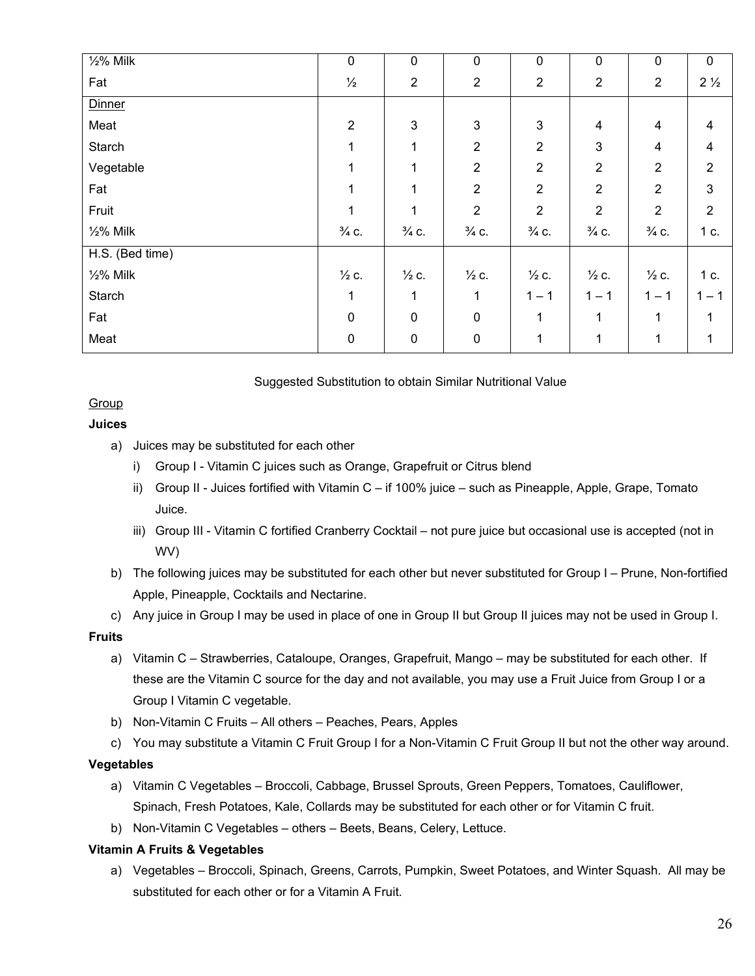| $\frac{1}{2}\%$ Milk | $\pmb{0}$        | $\pmb{0}$        | $\mathbf 0$      | 0                | $\pmb{0}$        | $\pmb{0}$        | $\pmb{0}$      |
|----------------------|------------------|------------------|------------------|------------------|------------------|------------------|----------------|
| Fat                  | $\frac{1}{2}$    | $\mathbf{2}$     | $\overline{2}$   | $\boldsymbol{2}$ | $\sqrt{2}$       | $\overline{2}$   | $2\frac{1}{2}$ |
| <b>Dinner</b>        |                  |                  |                  |                  |                  |                  |                |
| Meat                 | $\overline{2}$   | 3                | $\mathbf{3}$     | $\mathbf{3}$     | $\overline{4}$   | 4                | 4              |
| Starch               |                  | 1                | $\overline{2}$   | $\overline{2}$   | 3                | 4                | $\overline{4}$ |
| Vegetable            |                  | 1                | $\overline{2}$   | $\overline{2}$   | $\overline{2}$   | $\overline{2}$   | $\overline{2}$ |
| Fat                  |                  | 1                | $\overline{2}$   | $\overline{2}$   | $\overline{2}$   | $\overline{2}$   | $\mathbf{3}$   |
| Fruit                | 1                | 1                | $\overline{2}$   | $\overline{2}$   | $\overline{2}$   | $\overline{2}$   | $\overline{2}$ |
| $1/2$ % Milk         | $\frac{3}{4}$ C. | $\frac{3}{4}$ C. | $\frac{3}{4}$ C. | $\frac{3}{4}$ C. | $\frac{3}{4}$ C. | $\frac{3}{4}$ C. | 1 c.           |
| H.S. (Bed time)      |                  |                  |                  |                  |                  |                  |                |
| $1/2%$ Milk          | $\frac{1}{2}$ c. | $\frac{1}{2}$ c. | $\frac{1}{2}$ c. | $\frac{1}{2}$ C. | $\frac{1}{2}$ c. | $\frac{1}{2}$ C. | 1 c.           |
| Starch               | 1                | 1                | 1                | $1 - 1$          | $1 - 1$          | $1 - 1$          | $1 - 1$        |
| Fat                  | $\mathbf 0$      | $\mathbf 0$      | $\mathbf 0$      | 1                | 1                | $\mathbf{1}$     | 1              |
| Meat                 | $\pmb{0}$        | $\pmb{0}$        | $\pmb{0}$        | 1                | 1                | 1                | 1              |

#### Suggested Substitution to obtain Similar Nutritional Value

### Group

### **Juices**

- a) Juices may be substituted for each other
	- i) Group I Vitamin C juices such as Orange, Grapefruit or Citrus blend
	- ii) Group II Juices fortified with Vitamin C if 100% juice such as Pineapple, Apple, Grape, Tomato Juice.
	- iii) Group III Vitamin C fortified Cranberry Cocktail not pure juice but occasional use is accepted (not in WV)
- b) The following juices may be substituted for each other but never substituted for Group I Prune, Non-fortified Apple, Pineapple, Cocktails and Nectarine.
- c) Any juice in Group I may be used in place of one in Group II but Group II juices may not be used in Group I.

### **Fruits**

- a) Vitamin C Strawberries, Cataloupe, Oranges, Grapefruit, Mango may be substituted for each other. If these are the Vitamin C source for the day and not available, you may use a Fruit Juice from Group I or a Group I Vitamin C vegetable.
- b) Non-Vitamin C Fruits All others Peaches, Pears, Apples
- c) You may substitute a Vitamin C Fruit Group I for a Non-Vitamin C Fruit Group II but not the other way around.

### **Vegetables**

- a) Vitamin C Vegetables Broccoli, Cabbage, Brussel Sprouts, Green Peppers, Tomatoes, Cauliflower, Spinach, Fresh Potatoes, Kale, Collards may be substituted for each other or for Vitamin C fruit.
- b) Non-Vitamin C Vegetables others Beets, Beans, Celery, Lettuce.

### **Vitamin A Fruits & Vegetables**

a) Vegetables – Broccoli, Spinach, Greens, Carrots, Pumpkin, Sweet Potatoes, and Winter Squash. All may be substituted for each other or for a Vitamin A Fruit.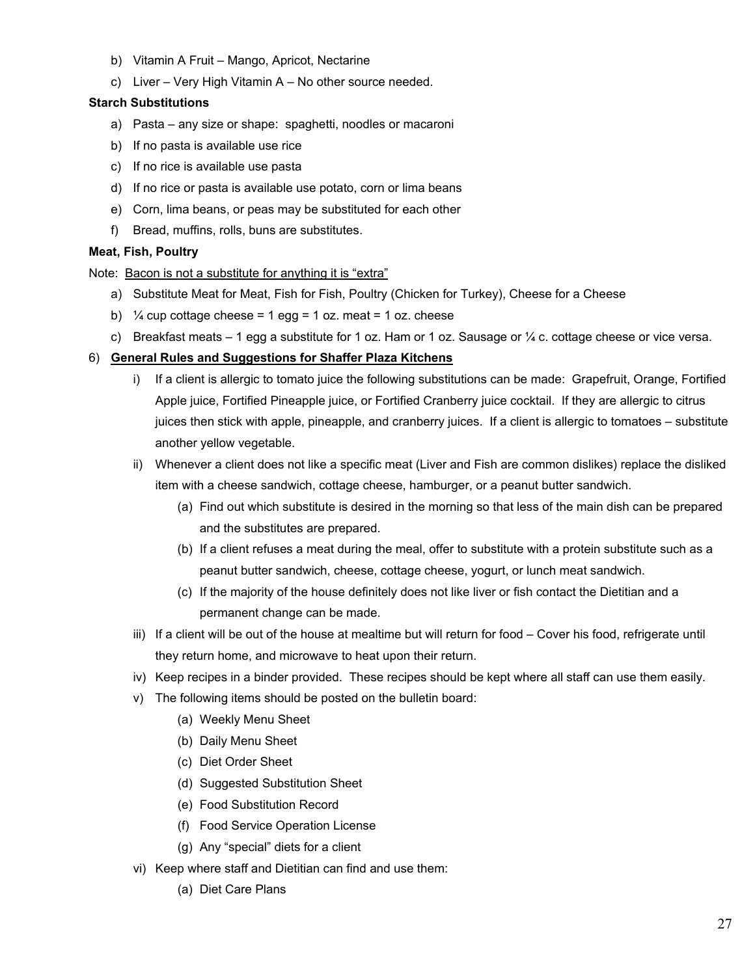- b) Vitamin A Fruit Mango, Apricot, Nectarine
- c) Liver Very High Vitamin A No other source needed.

#### **Starch Substitutions**

- a) Pasta any size or shape: spaghetti, noodles or macaroni
- b) If no pasta is available use rice
- c) If no rice is available use pasta
- d) If no rice or pasta is available use potato, corn or lima beans
- e) Corn, lima beans, or peas may be substituted for each other
- f) Bread, muffins, rolls, buns are substitutes.

### **Meat, Fish, Poultry**

Note: Bacon is not a substitute for anything it is "extra"

- a) Substitute Meat for Meat, Fish for Fish, Poultry (Chicken for Turkey), Cheese for a Cheese
- b)  $\frac{1}{4}$  cup cottage cheese = 1 egg = 1 oz. meat = 1 oz. cheese
- c) Breakfast meats  $-1$  egg a substitute for 1 oz. Ham or 1 oz. Sausage or  $\frac{1}{4}$  c. cottage cheese or vice versa.

### 6) **General Rules and Suggestions for Shaffer Plaza Kitchens**

- i) If a client is allergic to tomato juice the following substitutions can be made: Grapefruit, Orange, Fortified Apple juice, Fortified Pineapple juice, or Fortified Cranberry juice cocktail. If they are allergic to citrus juices then stick with apple, pineapple, and cranberry juices. If a client is allergic to tomatoes – substitute another yellow vegetable.
- ii) Whenever a client does not like a specific meat (Liver and Fish are common dislikes) replace the disliked item with a cheese sandwich, cottage cheese, hamburger, or a peanut butter sandwich.
	- (a) Find out which substitute is desired in the morning so that less of the main dish can be prepared and the substitutes are prepared.
	- (b) If a client refuses a meat during the meal, offer to substitute with a protein substitute such as a peanut butter sandwich, cheese, cottage cheese, yogurt, or lunch meat sandwich.
	- (c) If the majority of the house definitely does not like liver or fish contact the Dietitian and a permanent change can be made.
- iii) If a client will be out of the house at mealtime but will return for food Cover his food, refrigerate until they return home, and microwave to heat upon their return.
- iv) Keep recipes in a binder provided. These recipes should be kept where all staff can use them easily.
- v) The following items should be posted on the bulletin board:
	- (a) Weekly Menu Sheet
	- (b) Daily Menu Sheet
	- (c) Diet Order Sheet
	- (d) Suggested Substitution Sheet
	- (e) Food Substitution Record
	- (f) Food Service Operation License
	- (g) Any "special" diets for a client
- vi) Keep where staff and Dietitian can find and use them:
	- (a) Diet Care Plans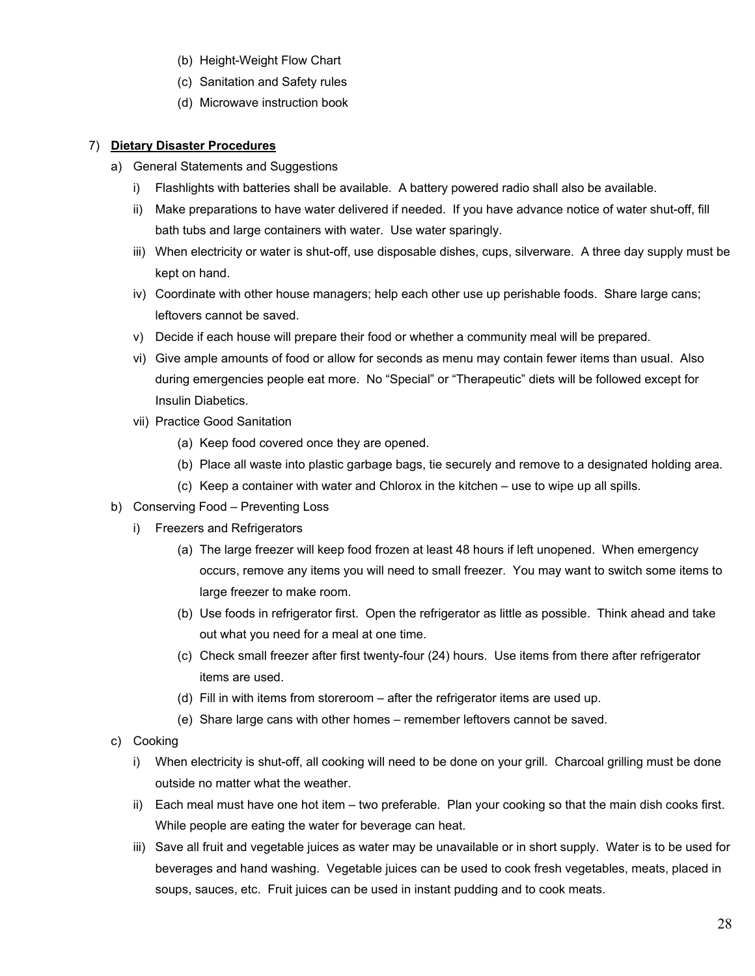- (b) Height-Weight Flow Chart
- (c) Sanitation and Safety rules
- (d) Microwave instruction book

### 7) **Dietary Disaster Procedures**

- a) General Statements and Suggestions
	- i) Flashlights with batteries shall be available. A battery powered radio shall also be available.
	- ii) Make preparations to have water delivered if needed. If you have advance notice of water shut-off, fill bath tubs and large containers with water. Use water sparingly.
	- iii) When electricity or water is shut-off, use disposable dishes, cups, silverware. A three day supply must be kept on hand.
	- iv) Coordinate with other house managers; help each other use up perishable foods. Share large cans; leftovers cannot be saved.
	- v) Decide if each house will prepare their food or whether a community meal will be prepared.
	- vi) Give ample amounts of food or allow for seconds as menu may contain fewer items than usual. Also during emergencies people eat more. No "Special" or "Therapeutic" diets will be followed except for Insulin Diabetics.
	- vii) Practice Good Sanitation
		- (a) Keep food covered once they are opened.
		- (b) Place all waste into plastic garbage bags, tie securely and remove to a designated holding area.
		- (c) Keep a container with water and Chlorox in the kitchen use to wipe up all spills.
- b) Conserving Food Preventing Loss
	- i) Freezers and Refrigerators
		- (a) The large freezer will keep food frozen at least 48 hours if left unopened. When emergency occurs, remove any items you will need to small freezer. You may want to switch some items to large freezer to make room.
		- (b) Use foods in refrigerator first. Open the refrigerator as little as possible. Think ahead and take out what you need for a meal at one time.
		- (c) Check small freezer after first twenty-four (24) hours. Use items from there after refrigerator items are used.
		- (d) Fill in with items from storeroom after the refrigerator items are used up.
		- (e) Share large cans with other homes remember leftovers cannot be saved.
- c) Cooking
	- i) When electricity is shut-off, all cooking will need to be done on your grill. Charcoal grilling must be done outside no matter what the weather.
	- ii) Each meal must have one hot item two preferable. Plan your cooking so that the main dish cooks first. While people are eating the water for beverage can heat.
	- iii) Save all fruit and vegetable juices as water may be unavailable or in short supply. Water is to be used for beverages and hand washing. Vegetable juices can be used to cook fresh vegetables, meats, placed in soups, sauces, etc. Fruit juices can be used in instant pudding and to cook meats.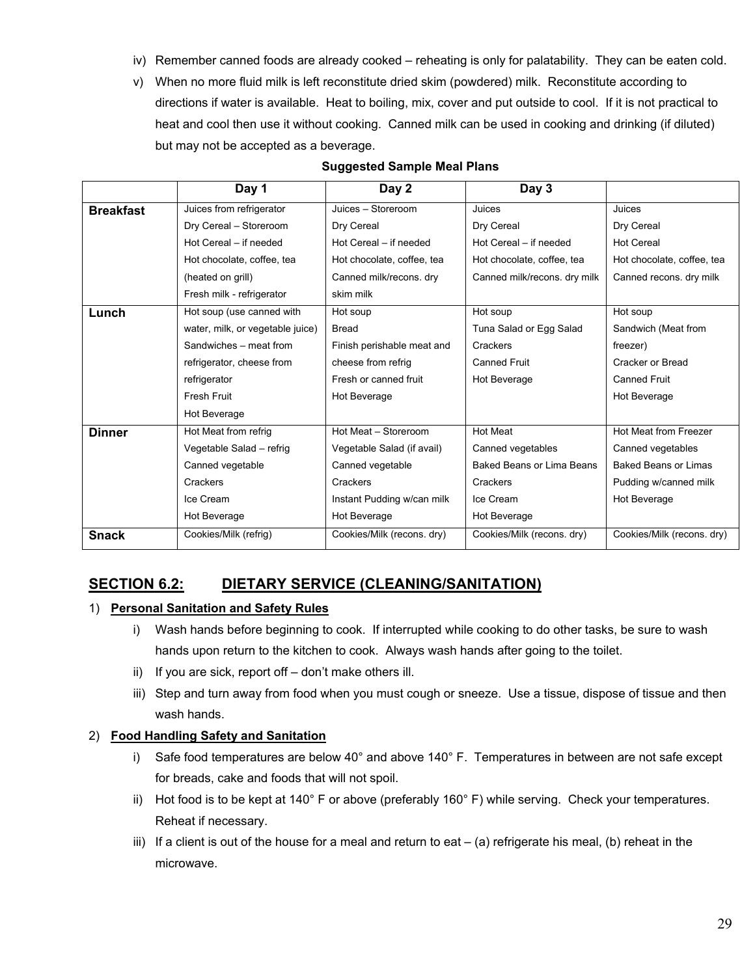- iv) Remember canned foods are already cooked reheating is only for palatability. They can be eaten cold.
- v) When no more fluid milk is left reconstitute dried skim (powdered) milk. Reconstitute according to directions if water is available. Heat to boiling, mix, cover and put outside to cool. If it is not practical to heat and cool then use it without cooking. Canned milk can be used in cooking and drinking (if diluted) but may not be accepted as a beverage.

|                  | Day 1                            | Day 2                      | Day 3                            |                             |
|------------------|----------------------------------|----------------------------|----------------------------------|-----------------------------|
| <b>Breakfast</b> | Juices from refrigerator         | Juices - Storeroom         | Juices                           | Juices                      |
|                  | Dry Cereal - Storeroom           | Dry Cereal                 | Dry Cereal                       | Dry Cereal                  |
|                  | Hot Cereal - if needed           | Hot Cereal - if needed     | Hot Cereal - if needed           | <b>Hot Cereal</b>           |
|                  | Hot chocolate, coffee, tea       | Hot chocolate, coffee, tea | Hot chocolate, coffee, tea       | Hot chocolate, coffee, tea  |
|                  | (heated on grill)                | Canned milk/recons. dry    | Canned milk/recons. dry milk     | Canned recons. dry milk     |
|                  | Fresh milk - refrigerator        | skim milk                  |                                  |                             |
| Lunch            | Hot soup (use canned with        | Hot soup                   | Hot soup                         | Hot soup                    |
|                  | water, milk, or vegetable juice) | <b>Bread</b>               | Tuna Salad or Egg Salad          | Sandwich (Meat from         |
|                  | Sandwiches - meat from           | Finish perishable meat and | Crackers                         | freezer)                    |
|                  | refrigerator, cheese from        | cheese from refrig         | <b>Canned Fruit</b>              | Cracker or Bread            |
|                  | refrigerator                     | Fresh or canned fruit      | Hot Beverage                     | <b>Canned Fruit</b>         |
|                  | Fresh Fruit                      | Hot Beverage               |                                  | Hot Beverage                |
|                  | Hot Beverage                     |                            |                                  |                             |
| <b>Dinner</b>    | Hot Meat from refrig             | Hot Meat - Storeroom       | <b>Hot Meat</b>                  | Hot Meat from Freezer       |
|                  | Vegetable Salad - refrig         | Vegetable Salad (if avail) | Canned vegetables                | Canned vegetables           |
|                  | Canned vegetable                 | Canned vegetable           | <b>Baked Beans or Lima Beans</b> | <b>Baked Beans or Limas</b> |
|                  | Crackers                         | Crackers                   | Crackers                         | Pudding w/canned milk       |
|                  | Ice Cream                        | Instant Pudding w/can milk | Ice Cream                        | Hot Beverage                |
|                  | Hot Beverage                     | Hot Beverage               | Hot Beverage                     |                             |
| <b>Snack</b>     | Cookies/Milk (refrig)            | Cookies/Milk (recons. dry) | Cookies/Milk (recons. dry)       | Cookies/Milk (recons. dry)  |
|                  |                                  |                            |                                  |                             |

### **Suggested Sample Meal Plans**

# **SECTION 6.2: DIETARY SERVICE (CLEANING/SANITATION)**

### 1) **Personal Sanitation and Safety Rules**

- i) Wash hands before beginning to cook. If interrupted while cooking to do other tasks, be sure to wash hands upon return to the kitchen to cook. Always wash hands after going to the toilet.
- ii) If you are sick, report off don't make others ill.
- iii) Step and turn away from food when you must cough or sneeze. Use a tissue, dispose of tissue and then wash hands.

### 2) **Food Handling Safety and Sanitation**

- i) Safe food temperatures are below 40° and above 140° F. Temperatures in between are not safe except for breads, cake and foods that will not spoil.
- ii) Hot food is to be kept at 140° F or above (preferably 160° F) while serving. Check your temperatures. Reheat if necessary.
- iii) If a client is out of the house for a meal and return to eat  $-$  (a) refrigerate his meal, (b) reheat in the microwave.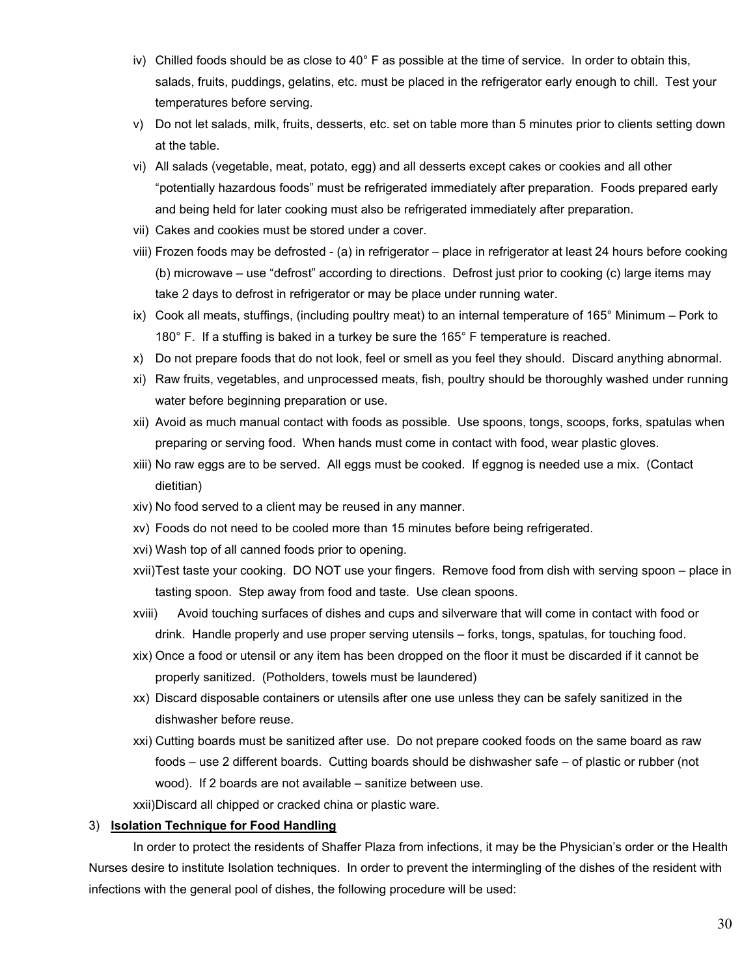- iv) Chilled foods should be as close to 40° F as possible at the time of service. In order to obtain this, salads, fruits, puddings, gelatins, etc. must be placed in the refrigerator early enough to chill. Test your temperatures before serving.
- v) Do not let salads, milk, fruits, desserts, etc. set on table more than 5 minutes prior to clients setting down at the table.
- vi) All salads (vegetable, meat, potato, egg) and all desserts except cakes or cookies and all other "potentially hazardous foods" must be refrigerated immediately after preparation. Foods prepared early and being held for later cooking must also be refrigerated immediately after preparation.
- vii) Cakes and cookies must be stored under a cover.
- viii) Frozen foods may be defrosted (a) in refrigerator place in refrigerator at least 24 hours before cooking (b) microwave – use "defrost" according to directions. Defrost just prior to cooking (c) large items may take 2 days to defrost in refrigerator or may be place under running water.
- ix) Cook all meats, stuffings, (including poultry meat) to an internal temperature of 165° Minimum Pork to 180° F. If a stuffing is baked in a turkey be sure the 165° F temperature is reached.
- x) Do not prepare foods that do not look, feel or smell as you feel they should. Discard anything abnormal.
- xi) Raw fruits, vegetables, and unprocessed meats, fish, poultry should be thoroughly washed under running water before beginning preparation or use.
- xii) Avoid as much manual contact with foods as possible. Use spoons, tongs, scoops, forks, spatulas when preparing or serving food. When hands must come in contact with food, wear plastic gloves.
- xiii) No raw eggs are to be served. All eggs must be cooked. If eggnog is needed use a mix. (Contact dietitian)
- xiv) No food served to a client may be reused in any manner.
- xv) Foods do not need to be cooled more than 15 minutes before being refrigerated.
- xvi) Wash top of all canned foods prior to opening.
- xvii)Test taste your cooking. DO NOT use your fingers. Remove food from dish with serving spoon place in tasting spoon. Step away from food and taste. Use clean spoons.
- xviii) Avoid touching surfaces of dishes and cups and silverware that will come in contact with food or drink. Handle properly and use proper serving utensils – forks, tongs, spatulas, for touching food.
- xix) Once a food or utensil or any item has been dropped on the floor it must be discarded if it cannot be properly sanitized. (Potholders, towels must be laundered)
- xx) Discard disposable containers or utensils after one use unless they can be safely sanitized in the dishwasher before reuse.
- xxi) Cutting boards must be sanitized after use. Do not prepare cooked foods on the same board as raw foods – use 2 different boards. Cutting boards should be dishwasher safe – of plastic or rubber (not wood). If 2 boards are not available – sanitize between use.
- xxii)Discard all chipped or cracked china or plastic ware.

#### 3) **Isolation Technique for Food Handling**

In order to protect the residents of Shaffer Plaza from infections, it may be the Physician's order or the Health Nurses desire to institute Isolation techniques. In order to prevent the intermingling of the dishes of the resident with infections with the general pool of dishes, the following procedure will be used: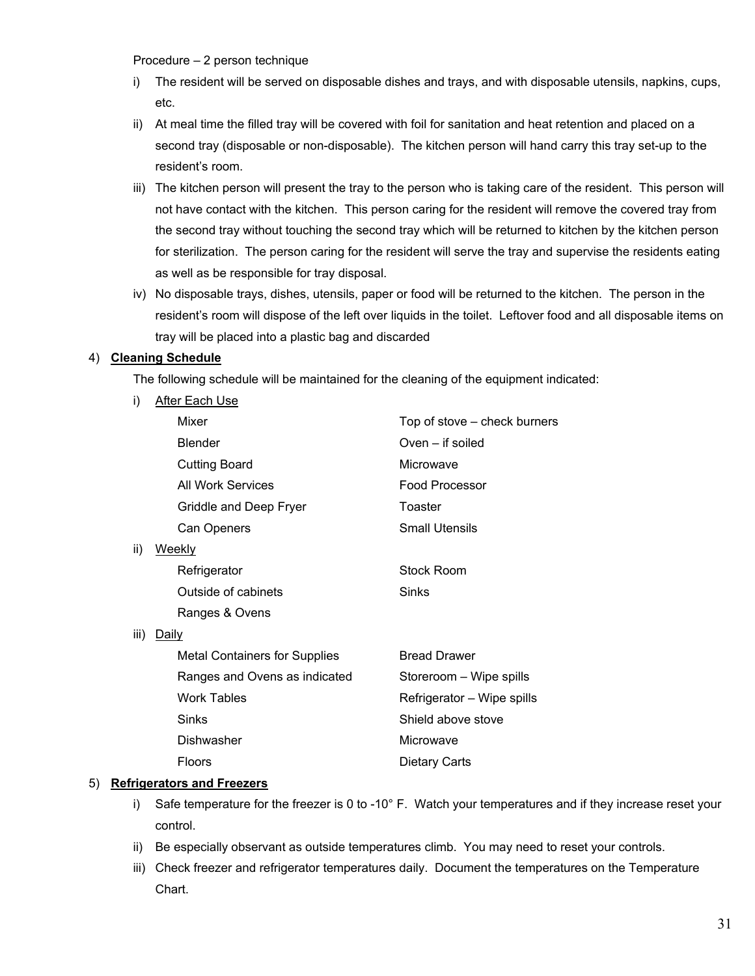Procedure – 2 person technique

- i) The resident will be served on disposable dishes and trays, and with disposable utensils, napkins, cups, etc.
- ii) At meal time the filled tray will be covered with foil for sanitation and heat retention and placed on a second tray (disposable or non-disposable). The kitchen person will hand carry this tray set-up to the resident's room.
- iii) The kitchen person will present the tray to the person who is taking care of the resident. This person will not have contact with the kitchen. This person caring for the resident will remove the covered tray from the second tray without touching the second tray which will be returned to kitchen by the kitchen person for sterilization. The person caring for the resident will serve the tray and supervise the residents eating as well as be responsible for tray disposal.
- iv) No disposable trays, dishes, utensils, paper or food will be returned to the kitchen. The person in the resident's room will dispose of the left over liquids in the toilet. Leftover food and all disposable items on tray will be placed into a plastic bag and discarded

### 4) **Cleaning Schedule**

The following schedule will be maintained for the cleaning of the equipment indicated:

- i) After Each Use Mixer Mixer **Top of stove** – check burners Blender Oven – if soiled Cutting Board Microwave All Work Services **Food Processor** Griddle and Deep Fryer Toaster Can Openers **Small Utensils** ii) Weekly Refrigerator **Stock Room** Outside of cabinets **Sinks** Ranges & Ovens iii) Daily Metal Containers for Supplies Bread Drawer
	- Ranges and Ovens as indicated Storeroom Wipe spills Work Tables **Refrigerator** – Wipe spills Sinks Shield above stove Dishwasher **Microwave**

Floors Dietary Carts

### 5) **Refrigerators and Freezers**

- i) Safe temperature for the freezer is 0 to -10° F. Watch your temperatures and if they increase reset your control.
- ii) Be especially observant as outside temperatures climb. You may need to reset your controls.
- iii) Check freezer and refrigerator temperatures daily. Document the temperatures on the Temperature Chart.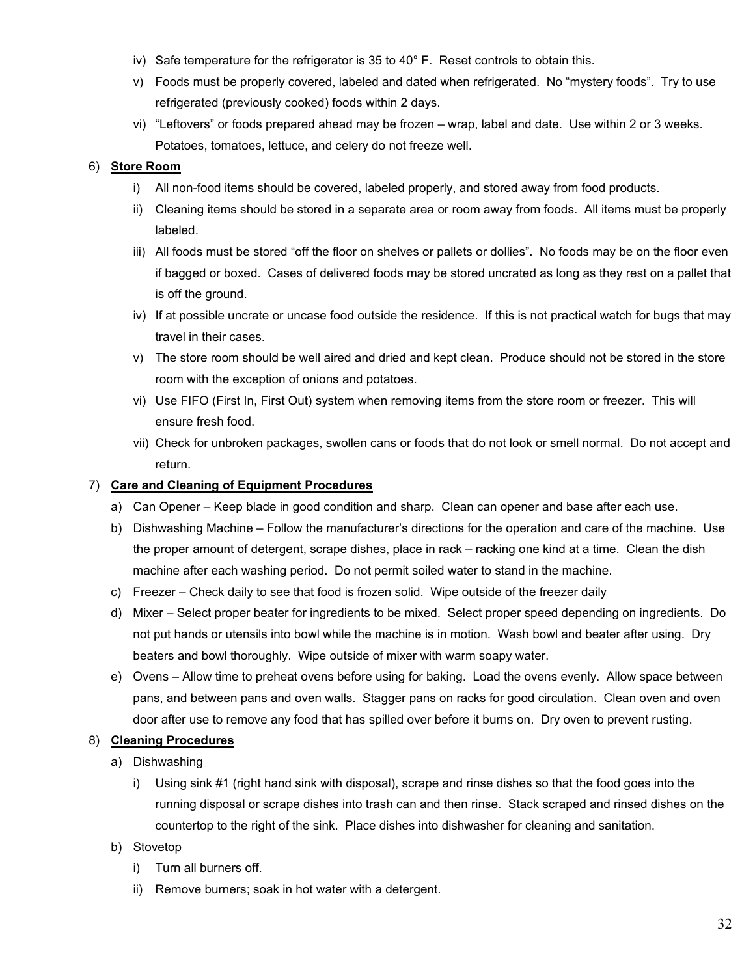- iv) Safe temperature for the refrigerator is 35 to 40° F. Reset controls to obtain this.
- v) Foods must be properly covered, labeled and dated when refrigerated. No "mystery foods". Try to use refrigerated (previously cooked) foods within 2 days.
- vi) "Leftovers" or foods prepared ahead may be frozen wrap, label and date. Use within 2 or 3 weeks. Potatoes, tomatoes, lettuce, and celery do not freeze well.

### 6) **Store Room**

- i) All non-food items should be covered, labeled properly, and stored away from food products.
- ii) Cleaning items should be stored in a separate area or room away from foods. All items must be properly labeled.
- iii) All foods must be stored "off the floor on shelves or pallets or dollies". No foods may be on the floor even if bagged or boxed. Cases of delivered foods may be stored uncrated as long as they rest on a pallet that is off the ground.
- iv) If at possible uncrate or uncase food outside the residence. If this is not practical watch for bugs that may travel in their cases.
- v) The store room should be well aired and dried and kept clean. Produce should not be stored in the store room with the exception of onions and potatoes.
- vi) Use FIFO (First In, First Out) system when removing items from the store room or freezer. This will ensure fresh food.
- vii) Check for unbroken packages, swollen cans or foods that do not look or smell normal. Do not accept and return.

### 7) **Care and Cleaning of Equipment Procedures**

- a) Can Opener Keep blade in good condition and sharp. Clean can opener and base after each use.
- b) Dishwashing Machine Follow the manufacturer's directions for the operation and care of the machine. Use the proper amount of detergent, scrape dishes, place in rack – racking one kind at a time. Clean the dish machine after each washing period. Do not permit soiled water to stand in the machine.
- c) Freezer Check daily to see that food is frozen solid. Wipe outside of the freezer daily
- d) Mixer Select proper beater for ingredients to be mixed. Select proper speed depending on ingredients. Do not put hands or utensils into bowl while the machine is in motion. Wash bowl and beater after using. Dry beaters and bowl thoroughly. Wipe outside of mixer with warm soapy water.
- e) Ovens Allow time to preheat ovens before using for baking. Load the ovens evenly. Allow space between pans, and between pans and oven walls. Stagger pans on racks for good circulation. Clean oven and oven door after use to remove any food that has spilled over before it burns on. Dry oven to prevent rusting.

### 8) **Cleaning Procedures**

- a) Dishwashing
	- i) Using sink #1 (right hand sink with disposal), scrape and rinse dishes so that the food goes into the running disposal or scrape dishes into trash can and then rinse. Stack scraped and rinsed dishes on the countertop to the right of the sink. Place dishes into dishwasher for cleaning and sanitation.
- b) Stovetop
	- i) Turn all burners off.
	- ii) Remove burners; soak in hot water with a detergent.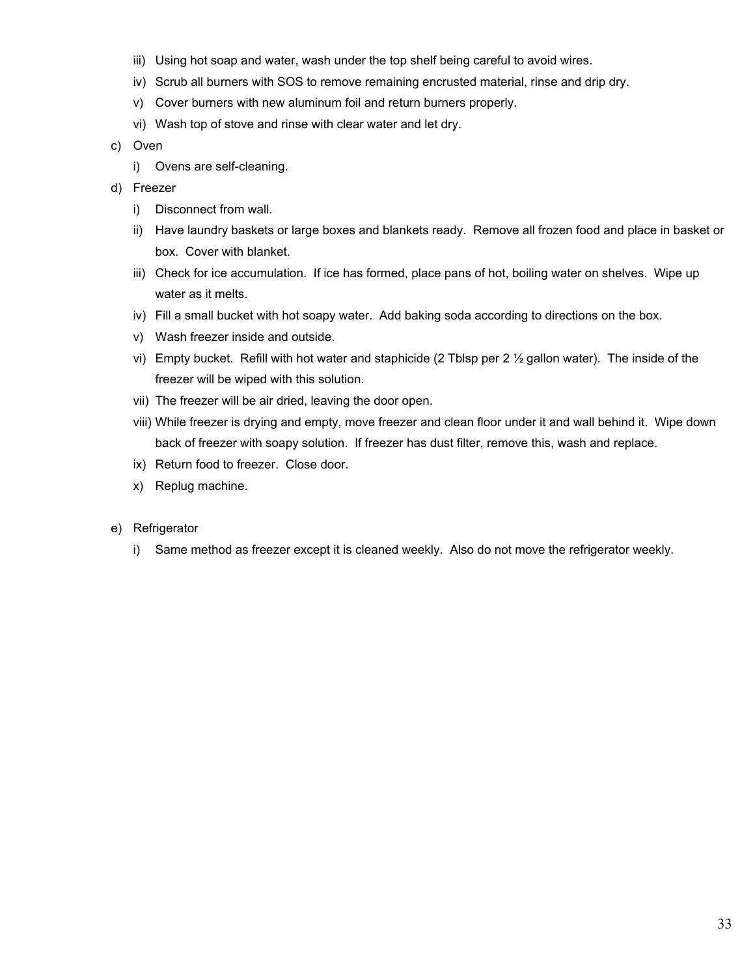- iii) Using hot soap and water, wash under the top shelf being careful to avoid wires.
- iv) Scrub all burners with SOS to remove remaining encrusted material, rinse and drip dry.
- v) Cover burners with new aluminum foil and return burners properly.
- vi) Wash top of stove and rinse with clear water and let dry.
- c) Oven
	- i) Ovens are self-cleaning.
- d) Freezer
	- i) Disconnect from wall.
	- ii) Have laundry baskets or large boxes and blankets ready. Remove all frozen food and place in basket or box. Cover with blanket.
	- iii) Check for ice accumulation. If ice has formed, place pans of hot, boiling water on shelves. Wipe up water as it melts.
	- iv) Fill a small bucket with hot soapy water. Add baking soda according to directions on the box.
	- v) Wash freezer inside and outside.
	- vi) Empty bucket. Refill with hot water and staphicide (2 Tblsp per 2 ½ gallon water). The inside of the freezer will be wiped with this solution.
	- vii) The freezer will be air dried, leaving the door open.
	- viii) While freezer is drying and empty, move freezer and clean floor under it and wall behind it. Wipe down back of freezer with soapy solution. If freezer has dust filter, remove this, wash and replace.
	- ix) Return food to freezer. Close door.
	- x) Replug machine.
- e) Refrigerator
	- i) Same method as freezer except it is cleaned weekly. Also do not move the refrigerator weekly.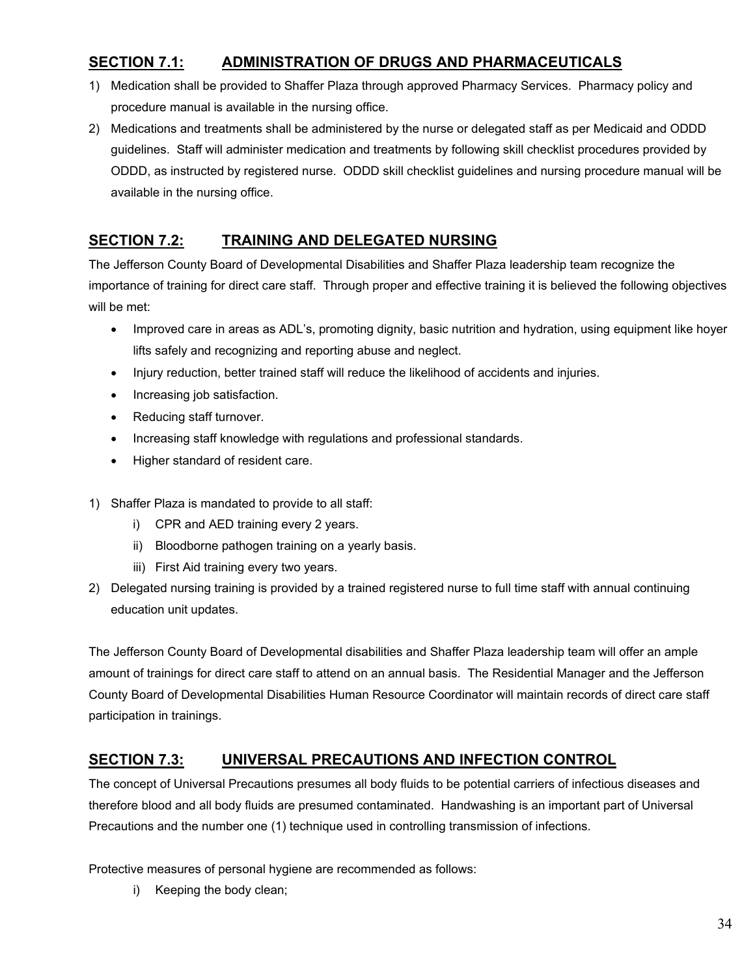## **SECTION 7.1: ADMINISTRATION OF DRUGS AND PHARMACEUTICALS**

- 1) Medication shall be provided to Shaffer Plaza through approved Pharmacy Services. Pharmacy policy and procedure manual is available in the nursing office.
- 2) Medications and treatments shall be administered by the nurse or delegated staff as per Medicaid and ODDD guidelines. Staff will administer medication and treatments by following skill checklist procedures provided by ODDD, as instructed by registered nurse. ODDD skill checklist guidelines and nursing procedure manual will be available in the nursing office.

## **SECTION 7.2: TRAINING AND DELEGATED NURSING**

The Jefferson County Board of Developmental Disabilities and Shaffer Plaza leadership team recognize the importance of training for direct care staff. Through proper and effective training it is believed the following objectives will be met:

- Improved care in areas as ADL's, promoting dignity, basic nutrition and hydration, using equipment like hoyer lifts safely and recognizing and reporting abuse and neglect.
- Injury reduction, better trained staff will reduce the likelihood of accidents and injuries.
- Increasing job satisfaction.
- Reducing staff turnover.
- Increasing staff knowledge with regulations and professional standards.
- Higher standard of resident care.
- 1) Shaffer Plaza is mandated to provide to all staff:
	- i) CPR and AED training every 2 years.
	- ii) Bloodborne pathogen training on a yearly basis.
	- iii) First Aid training every two years.
- 2) Delegated nursing training is provided by a trained registered nurse to full time staff with annual continuing education unit updates.

The Jefferson County Board of Developmental disabilities and Shaffer Plaza leadership team will offer an ample amount of trainings for direct care staff to attend on an annual basis. The Residential Manager and the Jefferson County Board of Developmental Disabilities Human Resource Coordinator will maintain records of direct care staff participation in trainings.

### **SECTION 7.3: UNIVERSAL PRECAUTIONS AND INFECTION CONTROL**

The concept of Universal Precautions presumes all body fluids to be potential carriers of infectious diseases and therefore blood and all body fluids are presumed contaminated. Handwashing is an important part of Universal Precautions and the number one (1) technique used in controlling transmission of infections.

Protective measures of personal hygiene are recommended as follows:

i) Keeping the body clean;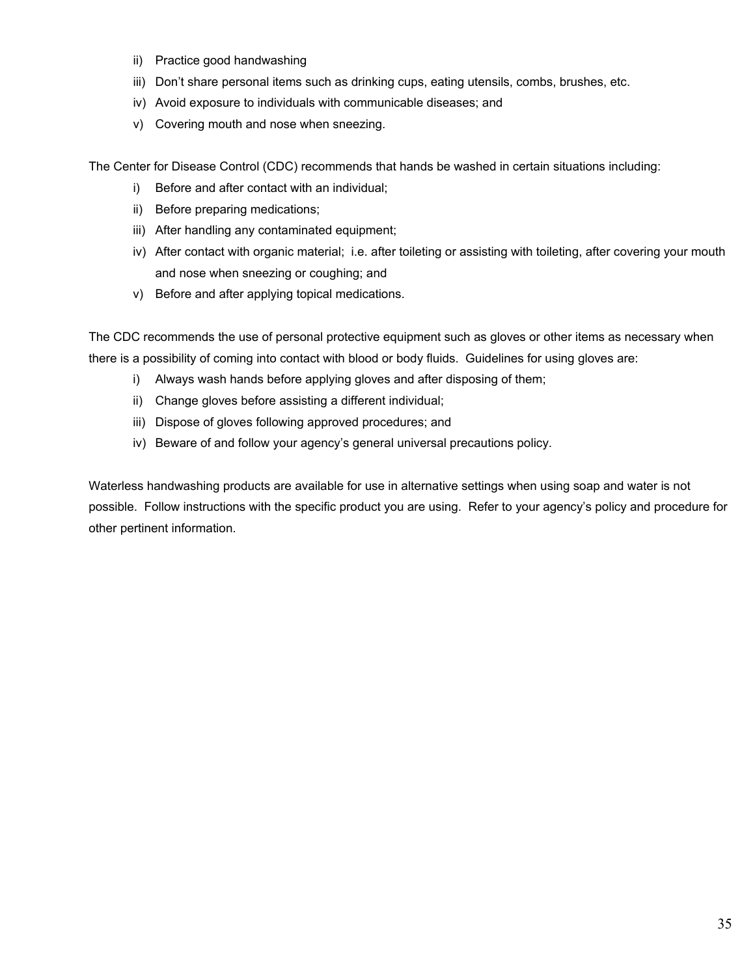- ii) Practice good handwashing
- iii) Don't share personal items such as drinking cups, eating utensils, combs, brushes, etc.
- iv) Avoid exposure to individuals with communicable diseases; and
- v) Covering mouth and nose when sneezing.

The Center for Disease Control (CDC) recommends that hands be washed in certain situations including:

- i) Before and after contact with an individual;
- ii) Before preparing medications;
- iii) After handling any contaminated equipment;
- iv) After contact with organic material; i.e. after toileting or assisting with toileting, after covering your mouth and nose when sneezing or coughing; and
- v) Before and after applying topical medications.

The CDC recommends the use of personal protective equipment such as gloves or other items as necessary when there is a possibility of coming into contact with blood or body fluids. Guidelines for using gloves are:

- i) Always wash hands before applying gloves and after disposing of them;
- ii) Change gloves before assisting a different individual;
- iii) Dispose of gloves following approved procedures; and
- iv) Beware of and follow your agency's general universal precautions policy.

Waterless handwashing products are available for use in alternative settings when using soap and water is not possible. Follow instructions with the specific product you are using. Refer to your agency's policy and procedure for other pertinent information.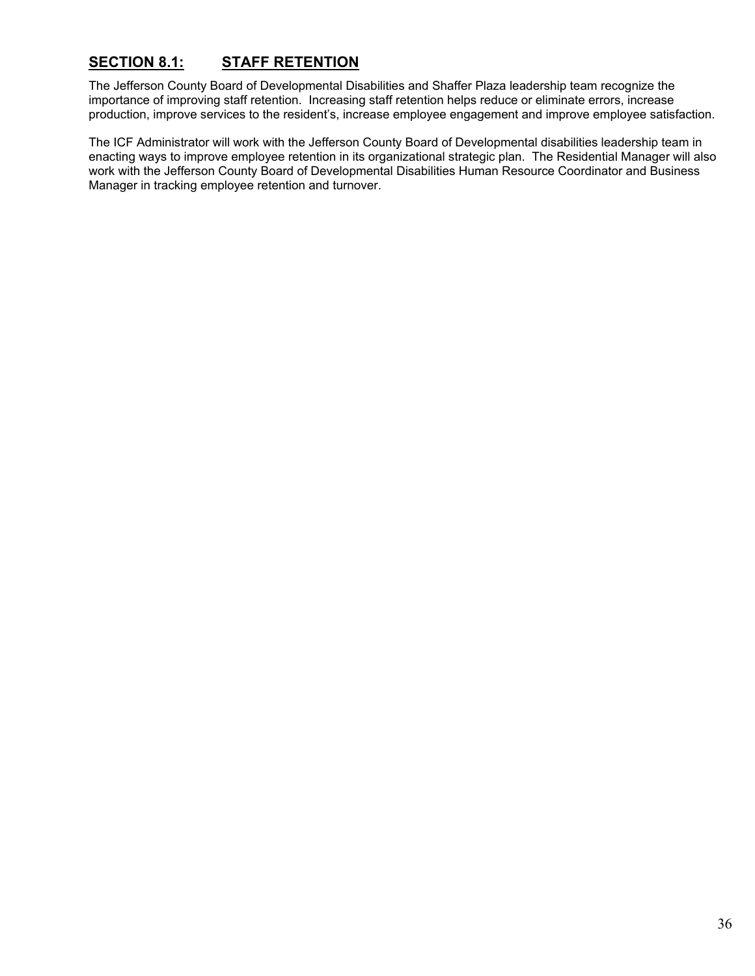# **SECTION 8.1: STAFF RETENTION**

The Jefferson County Board of Developmental Disabilities and Shaffer Plaza leadership team recognize the importance of improving staff retention. Increasing staff retention helps reduce or eliminate errors, increase production, improve services to the resident's, increase employee engagement and improve employee satisfaction.

The ICF Administrator will work with the Jefferson County Board of Developmental disabilities leadership team in enacting ways to improve employee retention in its organizational strategic plan. The Residential Manager will also work with the Jefferson County Board of Developmental Disabilities Human Resource Coordinator and Business Manager in tracking employee retention and turnover.